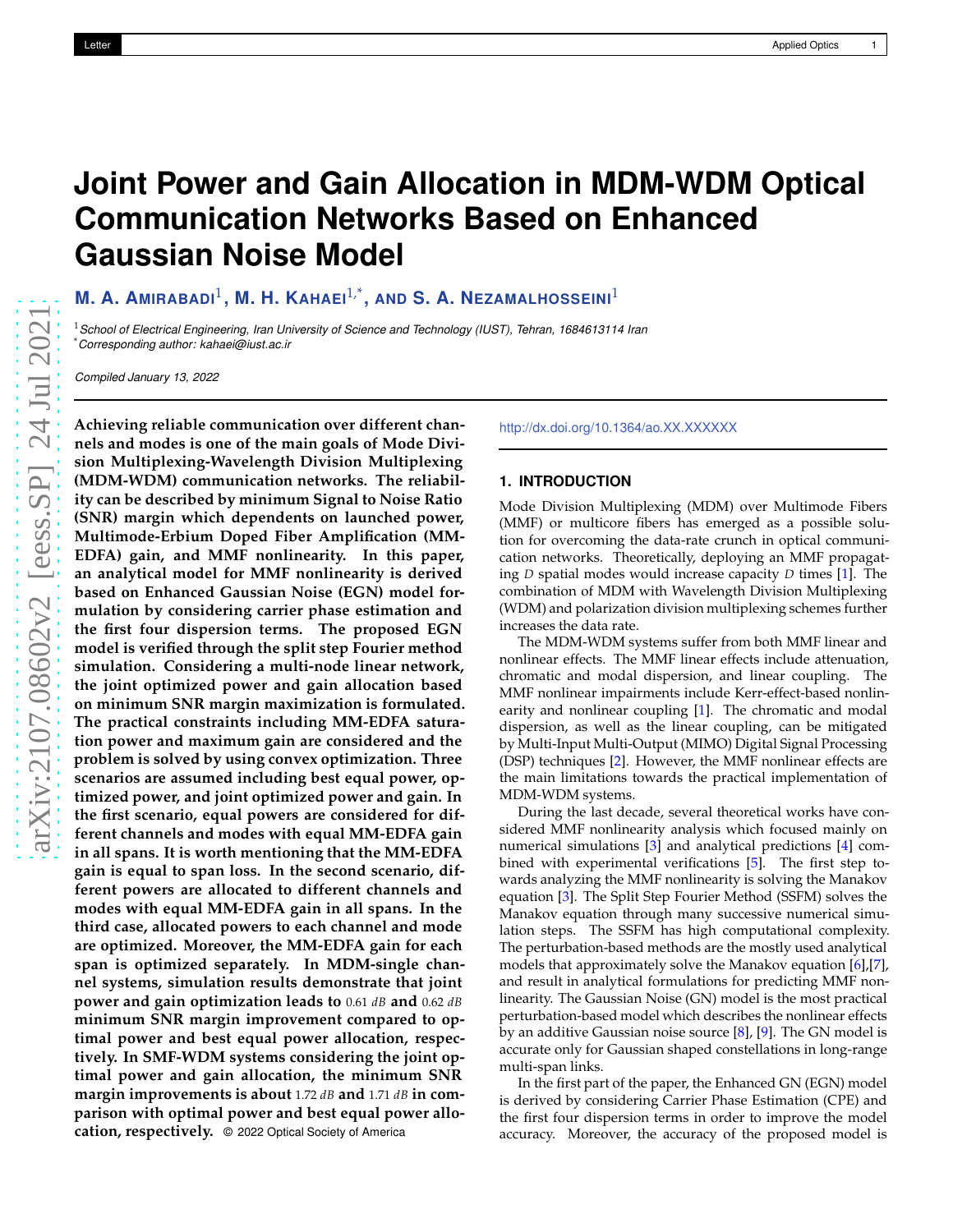# **Joint Power and Gain Allocation in MDM-WDM Optical Communication Networks Based on Enhanced Gaussian Noise Model**

 $\textbf{M. A. AMIRABADI}^1, \textbf{M. H. KAHAEI}^{1,*}, \textbf{AND S. A. NEZAMALHOSSEINI}^{1,*}$ 

<sup>1</sup>*School of Electrical Engineering, Iran University of Science and Technology (IUST), Tehran, 1684613114 Iran* \**Corresponding author: kahaei@iust.ac.ir*

*Compiled January 13, 2022*

**Achieving reliable communication over different channels and modes is one of the main goals of Mode Division Multiplexing-Wavelength Division Multiplexing (MDM-WDM) communication networks. The reliability can be described by minimum Signal to Noise Ratio (SNR) margin which dependents on launched power, Multimode-Erbium Doped Fiber Amplification (MM-EDFA) gain, and MMF nonlinearity. In this paper, an analytical model for MMF nonlinearity is derived based on Enhanced Gaussian Noise (EGN) model formulation by considering carrier phase estimation and the first four dispersion terms. The proposed EGN model is verified through the split step Fourier method simulation. Considering a multi-node linear network, the joint optimized power and gain allocation based on minimum SNR margin maximization is formulated. The practical constraints including MM-EDFA saturation power and maximum gain are considered and the problem is solved by using convex optimization. Three scenarios are assumed including best equal power, optimized power, and joint optimized power and gain. In the first scenario, equal powers are considered for different channels and modes with equal MM-EDFA gain in all spans. It is worth mentioning that the MM-EDFA gain is equal to span loss. In the second scenario, different powers are allocated to different channels and modes with equal MM-EDFA gain in all spans. In the third case, allocated powers to each channel and mode are optimized. Moreover, the MM-EDFA gain for each span is optimized separately. In MDM-single channel systems, simulation results demonstrate that joint power and gain optimization leads to** 0.61 *dB* **and** 0.62 *dB* **minimum SNR margin improvement compared to optimal power and best equal power allocation, respectively. In SMF-WDM systems considering the joint optimal power and gain allocation, the minimum SNR margin improvements is about** 1.72 *dB* **and** 1.71 *dB* **in comparison with optimal power and best equal power allocation, respectively.** © 2022 Optical Society of America

<http://dx.doi.org/10.1364/ao.XX.XXXXXX>

## **1. INTRODUCTION**

Mode Division Multiplexing (MDM) over Multimode Fibers (MMF) or multicore fibers has emerged as a possible solution for overcoming the data-rate crunch in optical communication networks. Theoretically, deploying an MMF propagating *D* spatial modes would increase capacity *D* times [\[1](#page-7-0)]. The combination of MDM with Wavelength Division Multiplexing (WDM) and polarization division multiplexing schemes further increases the data rate.

The MDM-WDM systems suffer from both MMF linear and nonlinear effects. The MMF linear effects include attenuation, chromatic and modal dispersion, and linear coupling. The MMF nonlinear impairments include Kerr-effect-based nonlinearity and nonlinear coupling [\[1](#page-7-0)]. The chromatic and modal dispersion, as well as the linear coupling, can be mitigated by Multi-Input Multi-Output (MIMO) Digital Signal Processing (DSP) techniques [ [2](#page-7-1)]. However, the MMF nonlinear effects are the main limitations towards the practical implementation of MDM-WDM systems.

During the last decade, several theoretical works have considered MMF nonlinearity analysis which focused mainly on numerical simulations [ [3](#page-9-0)] and analytical predictions [ [4](#page-9-1)] combined with experimental verifications [\[5](#page-9-2)]. The first step towards analyzing the MMF nonlinearity is solving the Manakov equation [ [3\]](#page-9-0). The Split Step Fourier Method (SSFM) solves the Manakov equation through many successive numerical simulation steps. The SSFM has high computational complexity. The perturbation-based methods are the mostly used analytical models that approximately solve the Manakov equation [ [6](#page-9-3)],[ [7](#page-9-4)], and result in analytical formulations for predicting MMF nonlinearity. The Gaussian Noise (GN) model is the most practical perturbation-based model which describes the nonlinear effects by an additive Gaussian noise source [ [8\]](#page-9-5), [ [9\]](#page-9-6). The GN model is accurate only for Gaussian shaped constellations in long-range multi-span links.

In the first part of the paper, the Enhanced GN (EGN) model is derived by considering Carrier Phase Estimation (CPE) an d the first four dispersion terms in order to improve the model accuracy. Moreover, the accuracy of the proposed model is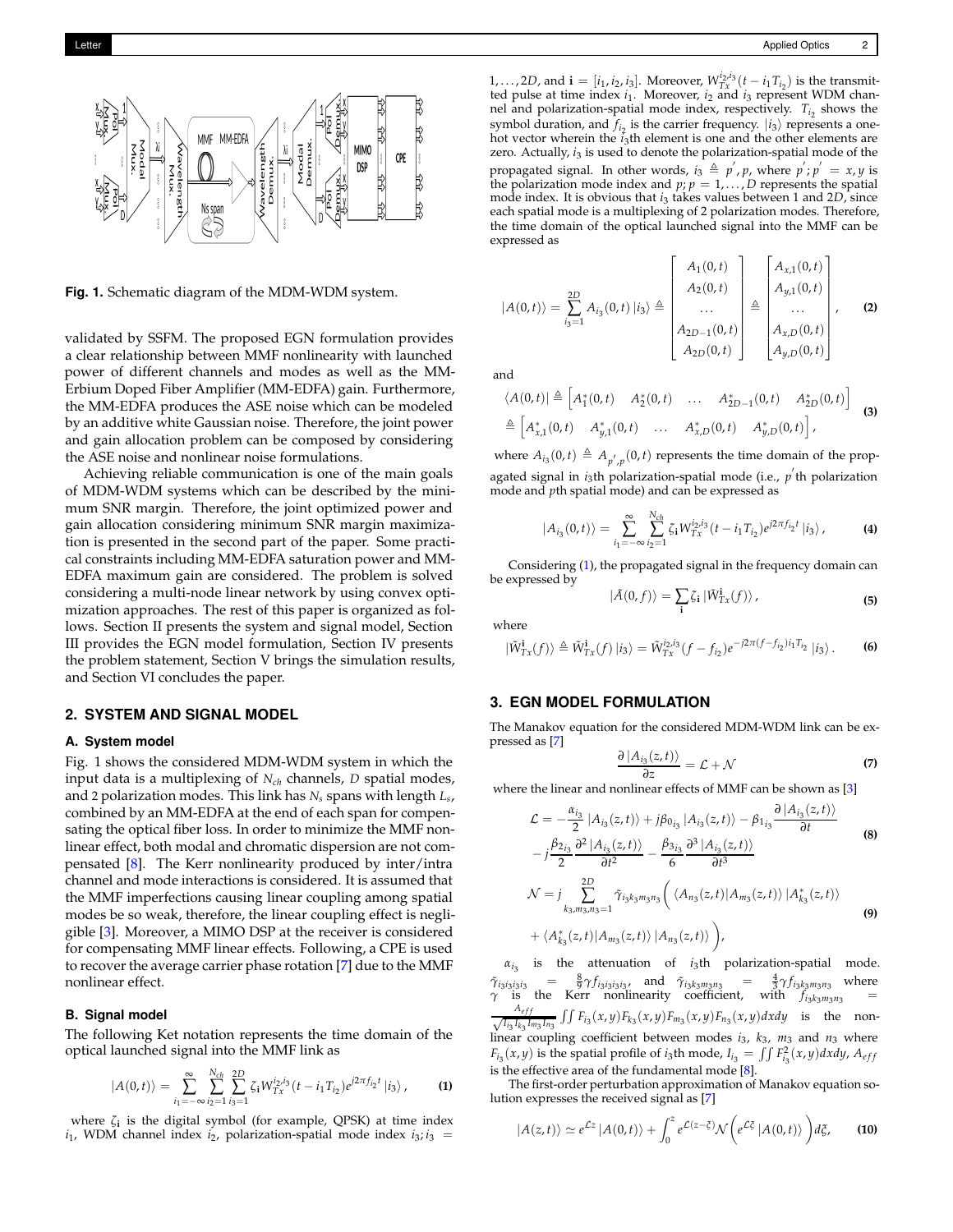

**Fig. 1.** Schematic diagram of the MDM-WDM system.

validated by SSFM. The proposed EGN formulation provides a clear relationship between MMF nonlinearity with launched power of different channels and modes as well as the MM-Erbium Doped Fiber Amplifier (MM-EDFA) gain. Furthermore, the MM-EDFA produces the ASE noise which can be modeled by an additive white Gaussian noise. Therefore, the joint power and gain allocation problem can be composed by considering the ASE noise and nonlinear noise formulations.

Achieving reliable communication is one of the main goals of MDM-WDM systems which can be described by the minimum SNR margin. Therefore, the joint optimized power and gain allocation considering minimum SNR margin maximization is presented in the second part of the paper. Some practical constraints including MM-EDFA saturation power and MM-EDFA maximum gain are considered. The problem is solved considering a multi-node linear network by using convex optimization approaches. The rest of this paper is organized as follows. Section II presents the system and signal model, Section III provides the EGN model formulation, Section IV presents the problem statement, Section V brings the simulation results, and Section VI concludes the paper.

#### **2. SYSTEM AND SIGNAL MODEL**

### **A. System model**

Fig. 1 shows the considered MDM-WDM system in which the input data is a multiplexing of *Nch* channels, *D* spatial modes, and 2 polarization modes. This link has *N<sup>s</sup>* spans with length *L<sup>s</sup>* , combined by an MM-EDFA at the end of each span for compensating the optical fiber loss. In order to minimize the MMF nonlinear effect, both modal and chromatic dispersion are not compensated [\[8](#page-9-5)]. The Kerr nonlinearity produced by inter/intra channel and mode interactions is considered. It is assumed that the MMF imperfections causing linear coupling among spatial modes be so weak, therefore, the linear coupling effect is negligible [\[3](#page-9-0)]. Moreover, a MIMO DSP at the receiver is considered for compensating MMF linear effects. Following, a CPE is used to recover the average carrier phase rotation [\[7](#page-9-4)] due to the MMF nonlinear effect.

### **B. Signal model**

The following Ket notation represents the time domain of the optical launched signal into the MMF link as

<span id="page-1-0"></span>
$$
|A(0,t)\rangle = \sum_{i_1=-\infty}^{\infty} \sum_{i_2=1}^{N_{ch}} \sum_{i_3=1}^{2D} \zeta_i W_{Tx}^{i_2, i_3}(t - i_1 T_{i_2}) e^{j2\pi f_{i_2}t} |i_3\rangle,
$$
 (1)

where *ζ***<sup>i</sup>** is the digital symbol (for example, QPSK) at time index  $i_1$ , WDM channel index  $i_2$ , polarization-spatial mode index  $i_3$ ;  $i_3$  =

1, ..., 2*D*, and **i** = [*i*<sub>1</sub>, *i*<sub>2</sub>, *i*<sub>3</sub>]. Moreover,  $W_{Tx}^{i_{2},i_{3}}(t - i_{1}T_{i_{2}})$  is the transmitted pulse at time index *i*1. Moreover, *i*<sup>2</sup> and *i*<sup>3</sup> represent WDM channel and polarization-spatial mode index, respectively.  $T_{i_2}$  shows the symbol duration, and  $f_{i_2}$  is the carrier frequency.  $|i_3\rangle$  represents a onehot vector wherein the *i*3th element is one and the other elements are zero. Actually, *i*<sub>3</sub> is used to denote the polarization-spatial mode of the propagated signal. In other words,  $i_3 \triangleq p', p$ , where  $p'; p' = x, y$  is the polarization mode index and  $p$ ;  $p = 1, \ldots, D$  represents the spatial mode index. It is obvious that *i*<sup>3</sup> takes values between 1 and 2*D*, since each spatial mode is a multiplexing of 2 polarization modes. Therefore, the time domain of the optical launched signal into the MMF can be expressed as

$$
|A(0,t)\rangle = \sum_{i_3=1}^{2D} A_{i_3}(0,t) |i_3\rangle \triangleq \begin{bmatrix} A_1(0,t) \\ A_2(0,t) \\ \dots \\ A_{2D-1}(0,t) \\ A_{2D}(0,t) \end{bmatrix} \triangleq \begin{bmatrix} A_{x,1}(0,t) \\ A_{y,1}(0,t) \\ \dots \\ A_{x,D}(0,t) \\ A_{y,D}(0,t) \end{bmatrix},
$$
 (2)

and

$$
\langle A(0,t)| \triangleq \begin{bmatrix} A_1^*(0,t) & A_2^*(0,t) & \dots & A_{2D-1}^*(0,t) & A_{2D}^*(0,t) \end{bmatrix}
$$
  
\n
$$
\triangleq \begin{bmatrix} A_{x,1}^*(0,t) & A_{y,1}^*(0,t) & \dots & A_{x,D}^*(0,t) & A_{y,D}^*(0,t) \end{bmatrix},
$$
 (3)

where  $A_{i_3}(0,t) \triangleq A_{p',p}(0,t)$  represents the time domain of the propagated signal in *i*<sub>3</sub>th polarization-spatial mode (i.e., p<sup>'</sup>th polarization mode and *p*th spatial mode) and can be expressed as

$$
|A_{i_3}(0,t)\rangle = \sum_{i_1=-\infty}^{\infty} \sum_{i_2=1}^{N_{ch}} \zeta_i W_{Tx}^{i_2, i_3}(t - i_1 T_{i_2}) e^{j2\pi f_{i_2}t} |i_3\rangle,
$$
 (4)

Considering [\(1\)](#page-1-0), the propagated signal in the frequency domain can be expressed by

$$
|\tilde{A}(0,f)\rangle = \sum_{\mathbf{i}} \zeta_{\mathbf{i}} | \tilde{W}_{Tx}^{\mathbf{i}}(f) \rangle, \tag{5}
$$

where

$$
|\tilde{W}_{Tx}^{i}(f)\rangle \triangleq \tilde{W}_{Tx}^{i}(f) |i_{3}\rangle = \tilde{W}_{Tx}^{i_{2},i_{3}}(f - f_{i_{2}})e^{-j2\pi(f - f_{i_{2}})i_{1}T_{i_{2}}}|i_{3}\rangle.
$$
 (6)

## **3. EGN MODEL FORMULATION**

The Manakov equation for the considered MDM-WDM link can be expressed as [\[7\]](#page-9-4)

$$
\frac{\partial |A_{i_3}(z,t)\rangle}{\partial z} = \mathcal{L} + \mathcal{N}
$$
 (7)

where the linear and nonlinear effects of MMF can be shown as [\[3](#page-9-0)]

$$
\mathcal{L} = -\frac{\alpha_{i_3}}{2} |A_{i_3}(z,t)\rangle + j\beta_{0i_3} |A_{i_3}(z,t)\rangle - \beta_{1i_3} \frac{\partial |A_{i_3}(z,t)\rangle}{\partial t}
$$
\n
$$
-j\frac{\beta_{2i_3}}{2} \frac{\partial^2 |A_{i_3}(z,t)\rangle}{\partial t^2} - \frac{\beta_{3i_3}}{6} \frac{\partial^3 |A_{i_3}(z,t)\rangle}{\partial t^3}
$$
\n
$$
\mathcal{N} = j \sum_{k_3,m_3,n_3=1}^{2D} \tilde{\gamma}_{i_3k_3m_3n_3} \left( \langle A_{n_3}(z,t) | A_{m_3}(z,t) \rangle | A_{k_3}^*(z,t) \rangle \right)
$$
\n
$$
+ \langle A_{k_3}^*(z,t) | A_{m_3}(z,t) \rangle | A_{n_3}(z,t)\rangle \right),
$$
\n(9)

*αi*3 is the attenuation of *i*3th polarization-spatial mode.  $\tilde{\gamma}_{i_3i_3}$  $\tilde{\gamma}_{i_3 i_3 j_4 j_5 j_6 j_7 j_8 j_3 j_3 j_5 j_6 j_7 j_8 j_8 j_9 j_9 j_9}$  =  $\frac{4}{3} \gamma f_{i_3 k_3 m_3 n_3}$  where *γ* is the Kerr nonlinearity coefficient, with  $f_{i3}k_{3}m_{3}n_{3} =$ <br> *A*<sub>eff</sub> f f f (x, y) E (x, y) E (x, y) dxdy, is the non √  $I_{i_3}$  $I_{k_3}$ *Im*<sup>3</sup>  $\int_{I_{n_3}} \int \int F_{i_3}(x, y) F_{k_3}(x, y) F_{m_3}(x, y) F_{n_3}(x, y) dx dy$  is the nonlinear coupling coefficient between modes *i*3, *k*3, *m*<sup>3</sup> and *n*<sup>3</sup> where  $F_{i_3}(x, y)$  is the spatial profile of *i*<sub>3</sub>th mode,  $I_{i_3} = \iint F_{i_3}^2(x, y) dx dy$ ,  $A_{eff}$ is the effective area of the fundamental mode [\[8](#page-9-5)].

The first-order perturbation approximation of Manakov equation solution expresses the received signal as [\[7](#page-9-4)]

$$
|A(z,t)\rangle \simeq e^{\mathcal{L}z} |A(0,t)\rangle + \int_0^z e^{\mathcal{L}(z-\xi)} \mathcal{N}\left(e^{\mathcal{L}\xi} |A(0,t)\rangle\right) d\xi, \qquad (10)
$$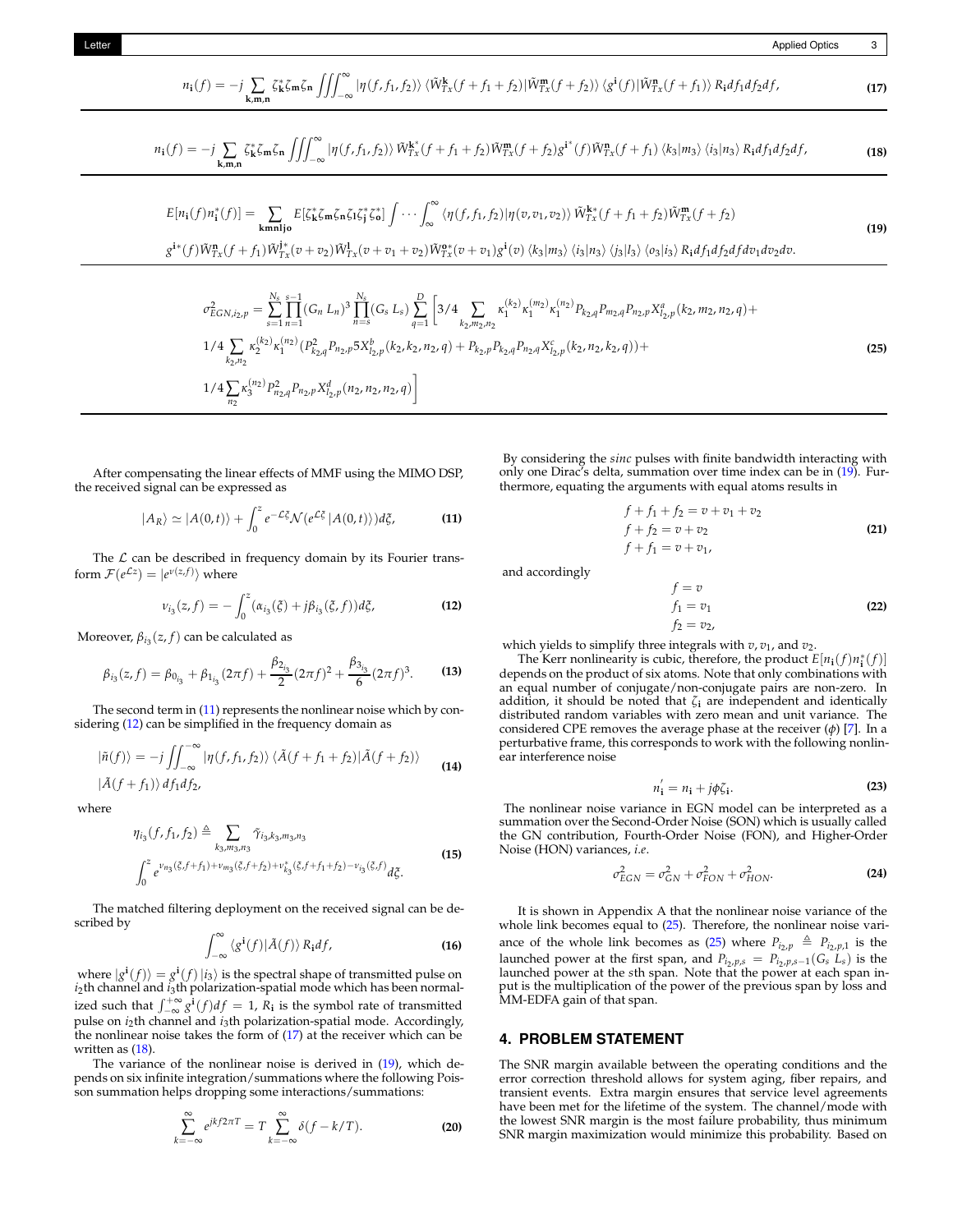<span id="page-2-2"></span>
$$
n_{\mathbf{i}}(f) = -j \sum_{\mathbf{k},\mathbf{m},\mathbf{n}} \zeta_{\mathbf{k}}^* \zeta_{\mathbf{m}} \zeta_{\mathbf{n}} \iiint_{-\infty}^{\infty} |\eta(f,f_1,f_2)\rangle \langle \tilde{W}_{Tx}^{\mathbf{k}}(f+f_1+f_2)|\tilde{W}_{Tx}^{\mathbf{m}}(f+f_2)\rangle \langle g^{\mathbf{i}}(f)|\tilde{W}_{Tx}^{\mathbf{n}}(f+f_1)\rangle R_{\mathbf{i}}df_1df_2df,
$$
\n(17)

<span id="page-2-3"></span>
$$
n_{\mathbf{i}}(f) = -j \sum_{\mathbf{k},\mathbf{m},\mathbf{n}} \zeta_{\mathbf{k}}^* \zeta_{\mathbf{m}} \zeta_{\mathbf{n}} \iiint_{-\infty}^{\infty} |\eta(f,f_1,f_2)\rangle \, \tilde{W}_{Tx}^{\mathbf{k}^*}(f+f_1+f_2) \tilde{W}_{Tx}^{\mathbf{m}}(f+f_2) g^{\mathbf{i}^*}(f) \tilde{W}_{Tx}^{\mathbf{n}}(f+f_1) \, \langle k_3 | m_3 \rangle \, \langle i_3 | n_3 \rangle \, R_{\mathbf{i}} df_1 df_2 df,
$$
\n
$$
\tag{18}
$$

<span id="page-2-4"></span>
$$
E[n_{\mathbf{i}}(f)n_{\mathbf{i}}^{*}(f)] = \sum_{\mathbf{k}\mathbf{m}\mathbf{n}\mathbf{j}\mathbf{o}} E[\zeta_{\mathbf{k}}^{*}\zeta_{\mathbf{m}}\zeta_{\mathbf{n}}\zeta_{\mathbf{i}}\zeta_{\mathbf{j}}^{*}\zeta_{\mathbf{o}}^{*}] \int \cdots \int_{\infty}^{\infty} \langle \eta(f,f_{1},f_{2}) | \eta(v,v_{1},v_{2}) \rangle \tilde{W}_{Tx}^{\mathbf{k}*}(f+f_{1}+f_{2}) \tilde{W}_{Tx}^{\mathbf{m}}(f+f_{2})
$$
\n
$$
g^{\mathbf{i}*}(f)\tilde{W}_{Tx}^{\mathbf{n}}(f+f_{1})\tilde{W}_{Tx}^{\mathbf{j}*}(v+v_{2})\tilde{W}_{Tx}^{\mathbf{j}*}(v+v_{1}+v_{2})\tilde{W}_{Tx}^{\mathbf{e}*}(v+v_{1})g^{\mathbf{i}}(v)\langle k_{3}|m_{3}\rangle \langle i_{3}|n_{3}\rangle \langle i_{3}|l_{3}\rangle \langle o_{3}|i_{3}\rangle R_{\mathbf{i}}df_{1}df_{2}df dv_{1}dv_{2}dv.
$$
\n(19)

<span id="page-2-5"></span>
$$
\sigma_{EGN,i_2,p}^2 = \sum_{s=1}^{N_s} \prod_{n=1}^{s-1} (G_n L_n)^3 \prod_{n=s}^{N_s} (G_s L_s) \sum_{q=1}^{D} \left[ 3/4 \sum_{k_2,m_2,n_2} \kappa_1^{(k_2)} \kappa_1^{(m_2)} \kappa_1^{(n_2)} P_{k_2,q} P_{m_2,q} P_{n_2,p} X_{l_2,p}^a(k_2, m_2, n_2, q) + 1/4 \sum_{k_2,n_2} \kappa_2^{(k_2)} \kappa_1^{(n_2)} (P_{k_2,q}^2 P_{n_2,p} 5X_{l_2,p}^b(k_2, k_2, n_2, q) + P_{k_2,p} P_{k_2,q} P_{n_2,q} X_{l_2,p}^c(k_2, n_2, k_2, q)) + 1/4 \sum_{n_2} \kappa_3^{(n_2)} P_{n_2,q}^2 P_{n_2,p} X_{l_2,p}^d(n_2, n_2, n_2, q) \right]
$$
\n(25)

After compensating the linear effects of MMF using the MIMO DSP, the received signal can be expressed as

<span id="page-2-0"></span>
$$
|A_R\rangle \simeq |A(0,t)\rangle + \int_0^z e^{-\mathcal{L}\xi} \mathcal{N}(e^{\mathcal{L}\xi} |A(0,t)\rangle) d\xi,
$$
 (11)

The  $\mathcal L$  can be described in frequency domain by its Fourier transform  $\mathcal{F}(e^{\mathcal{L}z}) = |e^{\nu(z,f)}\rangle$  where

<span id="page-2-1"></span>
$$
\nu_{i_3}(z,f) = -\int_0^z (\alpha_{i_3}(\xi) + j\beta_{i_3}(\xi, f))d\xi,
$$
 (12)

Moreover,  $\beta_{i_3}(z,f)$  can be calculated as

$$
\beta_{i_3}(z,f) = \beta_{0_{i_3}} + \beta_{1_{i_3}}(2\pi f) + \frac{\beta_{2_{i_3}}}{2}(2\pi f)^2 + \frac{\beta_{3_{i_3}}}{6}(2\pi f)^3.
$$
 (13)

The second term in  $(11)$  represents the nonlinear noise which by considering [\(12\)](#page-2-1) can be simplified in the frequency domain as

$$
|\tilde{n}(f)\rangle = -j \iint_{-\infty}^{\infty} |\eta(f, f_1, f_2)\rangle \langle \tilde{A}(f + f_1 + f_2)|\tilde{A}(f + f_2)\rangle
$$
  

$$
|\tilde{A}(f + f_1)\rangle df_1 df_2,
$$
 (14)

where

$$
\eta_{i_3}(f, f_1, f_2) \triangleq \sum_{k_3, m_3, n_3} \tilde{\gamma}_{i_3, k_3, m_3, n_3}
$$
\n
$$
\int_0^z e^{\nu_{n_3}(\xi, f+f_1) + \nu_{m_3}(\xi, f+f_2) + \nu_{k_3}^*(\xi, f+f_1+f_2) - \nu_{i_3}(\xi, f)} d\xi.
$$
\n(15)

The matched filtering deployment on the received signal can be described by

$$
\int_{-\infty}^{\infty} \langle g^{i}(f) | \tilde{A}(f) \rangle R_{i} df, \qquad (16)
$$

where  $|g^i(f)\rangle = g^i(f)|i_3\rangle$  is the spectral shape of transmitted pulse on *i*<sub>2</sub>th channel and *i*<sub>3</sub>th polarization-spatial mode which has been normalized such that  $\int_{-\infty}^{+\infty} g^1(f) df = 1$ ,  $R_1$  is the symbol rate of transmitted pulse on *i*2th channel and *i*3th polarization-spatial mode. Accordingly, the nonlinear noise takes the form of [\(17\)](#page-2-2) at the receiver which can be written as [\(18\)](#page-2-3).

The variance of the nonlinear noise is derived in [\(19\)](#page-2-4), which depends on six infinite integration/summations where the following Poisson summation helps dropping some interactions/summations:

$$
\sum_{k=-\infty}^{\infty} e^{jkf2\pi T} = T \sum_{k=-\infty}^{\infty} \delta(f - k/T).
$$
 (20)

By considering the *sinc* pulses with finite bandwidth interacting with only one Dirac's delta, summation over time index can be in [\(19\)](#page-2-4). Furthermore, equating the arguments with equal atoms results in

$$
f + f_1 + f_2 = v + v_1 + v_2
$$
  
\n
$$
f + f_2 = v + v_2
$$
  
\n
$$
f + f_1 = v + v_1,
$$
\n(21)

and accordingly

$$
f_1 = v_1
$$
  
\n
$$
f_2 = v_2,
$$
\n(22)

which yields to simplify three integrals with  $v$ ,  $v_1$ , and  $v_2$ .

The Kerr nonlinearity is cubic, therefore, the product  $E[n_i(f)n_i^*(f)]$ depends on the product of six atoms. Note that only combinations with an equal number of conjugate/non-conjugate pairs are non-zero. In addition, it should be noted that *ζ***<sup>i</sup>** are independent and identically distributed random variables with zero mean and unit variance. The considered CPE removes the average phase at the receiver (*φ*) [\[7\]](#page-9-4). In a perturbative frame, this corresponds to work with the following nonlinear interference noise

 $f = v$ 

$$
n_{\mathbf{i}}^{'} = n_{\mathbf{i}} + j\phi\zeta_{\mathbf{i}}.\tag{23}
$$

The nonlinear noise variance in EGN model can be interpreted as a summation over the Second-Order Noise (SON) which is usually called the GN contribution, Fourth-Order Noise (FON), and Higher-Order Noise (HON) variances, *i*.*e*.

$$
\sigma_{ESN}^2 = \sigma_{GN}^2 + \sigma_{FON}^2 + \sigma_{HON}^2.
$$
 (24)

It is shown in Appendix A that the nonlinear noise variance of the whole link becomes equal to  $(25)$ . Therefore, the nonlinear noise vari-ance of the whole link becomes as [\(25\)](#page-2-5) where  $P_{i_2,p} \triangleq P_{i_2,p,1}$  is the launched power at the first span, and  $P_{i_2,p,s} = P_{i_2,p,s-1}(G_s L_s)$  is the launched power at the sth span. Note that the power at each span input is the multiplication of the power of the previous span by loss and MM-EDFA gain of that span.

# **4. PROBLEM STATEMENT**

The SNR margin available between the operating conditions and the error correction threshold allows for system aging, fiber repairs, and transient events. Extra margin ensures that service level agreements have been met for the lifetime of the system. The channel/mode with the lowest SNR margin is the most failure probability, thus minimum SNR margin maximization would minimize this probability. Based on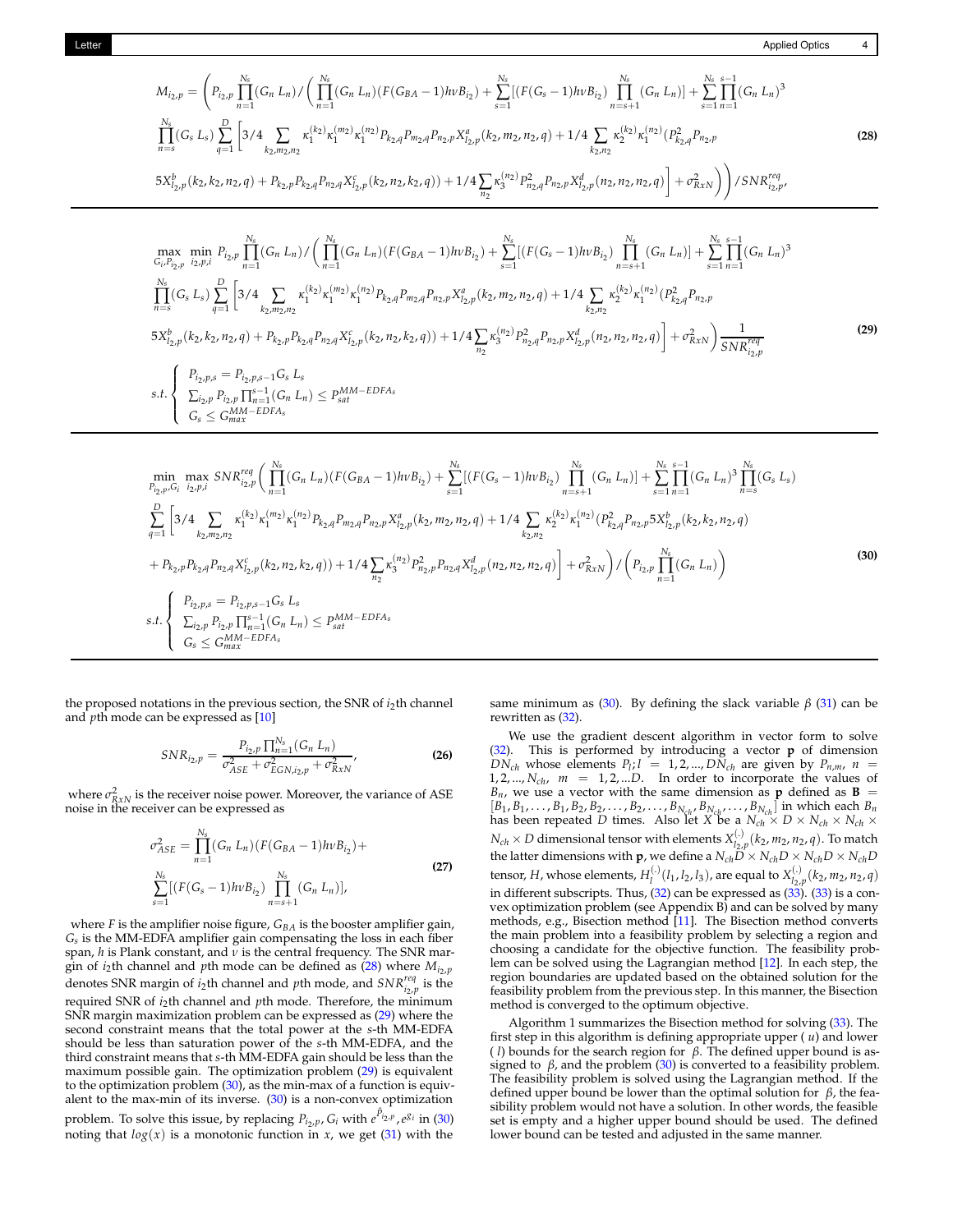<span id="page-3-0"></span>
$$
M_{i_{2},p} = \left(P_{i_{2},p} \prod_{n=1}^{N_{s}} (G_{n} L_{n}) / \left(\prod_{n=1}^{N_{s}} (G_{n} L_{n}) (F(G_{B} A - 1) h v B_{i_{2}}) + \sum_{s=1}^{N_{s}} [(F(G_{s} - 1) h v B_{i_{2}}) \prod_{n=s+1}^{N_{s}} (G_{n} L_{n})] + \sum_{s=1}^{N_{s}} \prod_{n=1}^{S-1} (G_{n} L_{n})^{3} \prod_{n=s+1}^{N_{s}} (G_{n} L_{n}) \right] + \sum_{s=1}^{N_{s}} \prod_{n=1}^{S-1} (G_{n} L_{n})^{3}
$$
\n
$$
\prod_{n=s}^{N_{s}} (G_{s} L_{s}) \sum_{q=1}^{D} \left[3/4 \sum_{k_{2}, m_{2}, n_{2}} \kappa_{1}^{(k_{2})} \kappa_{1}^{(m_{2})} \kappa_{1}^{(n_{2})} P_{k_{2},q} P_{m_{2},q} P_{m_{2},q} P_{n_{2},p} X_{l_{2},p}^{a} (k_{2}, m_{2}, n_{2}, q) + 1/4 \sum_{k_{2}, n_{2}} \kappa_{2}^{(k_{2})} \kappa_{1}^{(n_{2})} (P_{k_{2},q}^{2} P_{n_{2},p} P_{n_{2},p} P_{n_{2},q} P_{n_{2},q} P_{n_{2},q} X_{l_{2},p}^{a} (k_{2}, n_{2}, n_{2}, q) + P_{k_{2},p} P_{k_{2},q} P_{n_{2},q} X_{l_{2},p}^{c} (k_{2}, n_{2}, n_{2}, q) + 1/4 \sum_{n_{2}} \kappa_{3}^{(n_{2})} P_{n_{2},q}^{2} P_{n_{2},p} X_{l_{2},p}^{d} (n_{2}, n_{2}, n_{2}, q) + \sigma_{k_{x}N}^{2} \right) / SNR_{i_{2},p}^{req}
$$
\n
$$
(28)
$$

<span id="page-3-1"></span>
$$
\max_{G_i, P_{i_2, p}} \min_{i_2, p, i} P_{i_2, p} \prod_{n=1}^{N_s} (G_n L_n) / \left( \prod_{n=1}^{N_s} (G_n L_n) (F(G_{BA} - 1) h v B_{i_2}) + \sum_{s=1}^{N_s} [(F(G_s - 1) h v B_{i_2}) \prod_{n=s+1}^{N_s} (G_n L_n)] + \sum_{s=1}^{N_s} \prod_{n=1}^{S-1} (G_n L_n)^3 \right)
$$
\n
$$
\prod_{n=s}^{N_s} (G_s L_s) \sum_{q=1}^{D} \left[ 3/4 \sum_{k_2, m_2, n_2} \kappa_1^{(k_2)} \kappa_1^{(m_2)} \kappa_1^{(n_2)} P_{k_2, q} P_{m_2, q} P_{n_2, p} X_{i_2, p}^a(k_2, m_2, n_2, q) + 1/4 \sum_{k_2, n_2} \kappa_2^{(k_2)} \kappa_1^{(n_2)} (P_{k_2, q}^2 P_{n_2, p}) \right]
$$
\n
$$
5X_{i_2, p}^b(k_2, k_2, n_2, q) + P_{k_2, p} P_{k_2, q} P_{n_2, q} X_{i_2, p}^c(k_2, n_2, k_2, q)) + 1/4 \sum_{n_2} \kappa_3^{(n_2)} P_{n_2, q}^2 P_{n_2, p} X_{i_2, p}^d(n_2, n_2, n_2, q) \right] + \sigma_{RxN}^2 \left[ \sum_{i_2, p} \frac{1}{S N R_{i_2, p}^{req}} \right]
$$
\n
$$
s.t. \begin{cases} P_{i_2, p, s} = P_{i_2, p, s-1} G_s L_s \\ \sum_{i_2, p} P_{i_2, p} \prod_{n=1}^{s-1} (G_n L_n) \le P_{sat}^{MM - EDEA_s} \\ G_s \le G_{mm}^{MM - EDEA_s} \end{cases}
$$
\n(29)

<span id="page-3-2"></span>
$$
\min_{P_{i_{2},p},G_{i}} \max_{i_{2},p,i} SNR_{i_{2},p}^{req} \left( \prod_{n=1}^{N_{s}} (G_{n} L_{n}) (F(G_{BA} - 1) h v B_{i_{2}}) + \sum_{s=1}^{N_{s}} \left[ (F(G_{s} - 1) h v B_{i_{2}}) \prod_{n=s+1}^{N_{s}} (G_{n} L_{n}) \right] + \sum_{s=1}^{N_{s}} \prod_{n=1}^{s-1} (G_{n} L_{n})^{3} \prod_{n=s}^{N_{s}} (G_{s} L_{s})
$$
\n
$$
\sum_{q=1}^{D} \left[ 3/4 \sum_{k_{2},m_{2},n_{2}} \kappa_{1}^{(k_{2})} \kappa_{1}^{(m_{2})} \kappa_{1}^{(n_{2})} p_{k_{2},q} p_{m_{2},q} p_{n_{2},p} X_{i_{2},p}^{a} (k_{2},m_{2},n_{2},q) + 1/4 \sum_{k_{2},n_{2}} \kappa_{2}^{(k_{2})} \kappa_{1}^{(n_{2})} (P_{k_{2},q}^{2} P_{n_{2},p} 5 X_{k_{2},p}^{b} (k_{2},k_{2},n_{2},q) + P_{k_{2},p} P_{k_{2},q} P_{n_{2},q} X_{i_{2},p}^{c} (k_{2},n_{2},k_{2},q)) + 1/4 \sum_{n_{2}} \kappa_{3}^{(n_{2})} P_{n_{2},p}^{2} P_{n_{2},q} X_{i_{2},p}^{d} (n_{2},n_{2},n_{2},q) \right] + \sigma_{RxN}^{2} \left/ \left( P_{i_{2},p} \prod_{n=1}^{N_{s}} (G_{n} L_{n}) \right)
$$
\n
$$
s.t. \left\{ P_{i_{2},p,s} = P_{i_{2},p,s-1} G_{s} L_{s} \sum_{i_{2},p} P_{i_{2},p} \prod_{n=1}^{s-1} (G_{n} L_{n}) \le P_{sat}^{MM-EDFA_{s}} \right. \tag{30}
$$

the proposed notations in the previous section, the SNR of *i*<sub>2</sub>th channel and *p*th mode can be expressed as [\[10](#page-9-7)]

$$
SNR_{i_2,p} = \frac{P_{i_2,p} \prod_{n=1}^{N_s} (G_n L_n)}{\sigma_{ASE}^2 + \sigma_{EGN,i_2,p}^2 + \sigma_{RxN}^2},
$$
(26)

where  $\sigma_{RxN}^2$  is the receiver noise power. Moreover, the variance of ASE noise in the receiver can be expressed as

$$
\sigma_{ASE}^2 = \prod_{n=1}^{N_s} (G_n L_n) (F(G_{BA} - 1) h v B_{i_2}) + \sum_{n=1}^{N_s} [(F(G_s - 1) h v B_{i_2}) \prod_{n=s+1}^{N_s} (G_n L_n)],
$$
\n(27)

where *F* is the amplifier noise figure, *GBA* is the booster amplifier gain, *Gs* is the MM-EDFA amplifier gain compensating the loss in each fiber span, *h* is Plank constant, and *ν* is the central frequency. The SNR margin of *i*<sub>2</sub>th channel and *p*th mode can be defined as [\(28\)](#page-3-0) where  $M_{i_2,p}$ denotes SNR margin of *i*<sub>2</sub>th channel and *p*th mode, and  $SNR_{i_2,p}^{req}$  is the required SNR of *i*2th channel and *p*th mode. Therefore, the minimum SNR margin maximization problem can be expressed as [\(29\)](#page-3-1) where the second constraint means that the total power at the *s*-th MM-EDFA should be less than saturation power of the *s*-th MM-EDFA, and the third constraint means that *s*-th MM-EDFA gain should be less than the maximum possible gain. The optimization problem [\(29\)](#page-3-1) is equivalent to the optimization problem [\(30\)](#page-3-2), as the min-max of a function is equivalent to the max-min of its inverse. [\(30\)](#page-3-2) is a non-convex optimization problem. To solve this issue, by replacing  $P_{i_2,p}$ ,  $G_i$  with  $e^{\hat{P}_{i_2,p}}$ ,  $e^{g_i}$  in [\(30\)](#page-3-2) noting that  $log(x)$  is a monotonic function in *x*, we get [\(31\)](#page-4-0) with the

same minimum as [\(30\)](#page-3-2). By defining the slack variable  $β$  [\(31\)](#page-4-0) can be rewritten as [\(32\)](#page-4-1).

We use the gradient descent algorithm in vector form to solve [\(32\)](#page-4-1). This is performed by introducing a vector **p** of dimension *DN*<sub>*ch*</sub> whose elements  $P_l$ ; *l* = 1, 2, ..., *DN*<sub>*ch*</sub> are given by  $P_{n,m}$ ,  $n =$  $1, 2, \ldots, N_{ch}, m = 1, 2, \ldots D$ . In order to incorporate the values of  $B_n$ , we use a vector with the same dimension as **p** defined as **B** =  $[B_1, B_1, \ldots, B_1, B_2, B_2, \ldots, B_2, \ldots, B_{N_{ch}}, B_{N_{ch}}, \ldots, B_{N_{ch}}]$  in which each  $B_n$ has been repeated *D* times. Also let *X* be a  $N_{ch} \times D \times N_{ch} \times N_{ch} \times D$  $N_{ch} \times D$  dimensional tensor with elements  $X_{l_{2},p}^{(.)}(k_{2},m_{2},n_{2},q)$ . To match the latter dimensions with **p**, we define a  $N_{ch}\overline{D} \times N_{ch}\overline{D} \times N_{ch}\overline{D} \times N_{ch}\overline{D}$ tensor, *H*, whose elements,  $H_l^{(.)}(l_1, l_2, l_3)$ , are equal to  $X_{l_2,p}^{(.)}(k_2, m_2, n_2, q)$ in different subscripts. Thus, [\(32\)](#page-4-1) can be expressed as [\(33\)](#page-4-2). [\(33\)](#page-4-2) is a convex optimization problem (see Appendix B) and can be solved by many methods, e.g., Bisection method [\[11](#page-9-8)]. The Bisection method converts the main problem into a feasibility problem by selecting a region and choosing a candidate for the objective function. The feasibility problem can be solved using the Lagrangian method [\[12\]](#page-9-9). In each step, the region boundaries are updated based on the obtained solution for the feasibility problem from the previous step. In this manner, the Bisection method is converged to the optimum objective.

Algorithm 1 summarizes the Bisection method for solving [\(33\)](#page-4-2). The first step in this algorithm is defining appropriate upper ( *u*) and lower ( *l*) bounds for the search region for *β*. The defined upper bound is assigned to  $β$ , and the problem [\(30\)](#page-3-2) is converted to a feasibility problem. The feasibility problem is solved using the Lagrangian method. If the defined upper bound be lower than the optimal solution for *β*, the feasibility problem would not have a solution. In other words, the feasible set is empty and a higher upper bound should be used. The defined lower bound can be tested and adjusted in the same manner.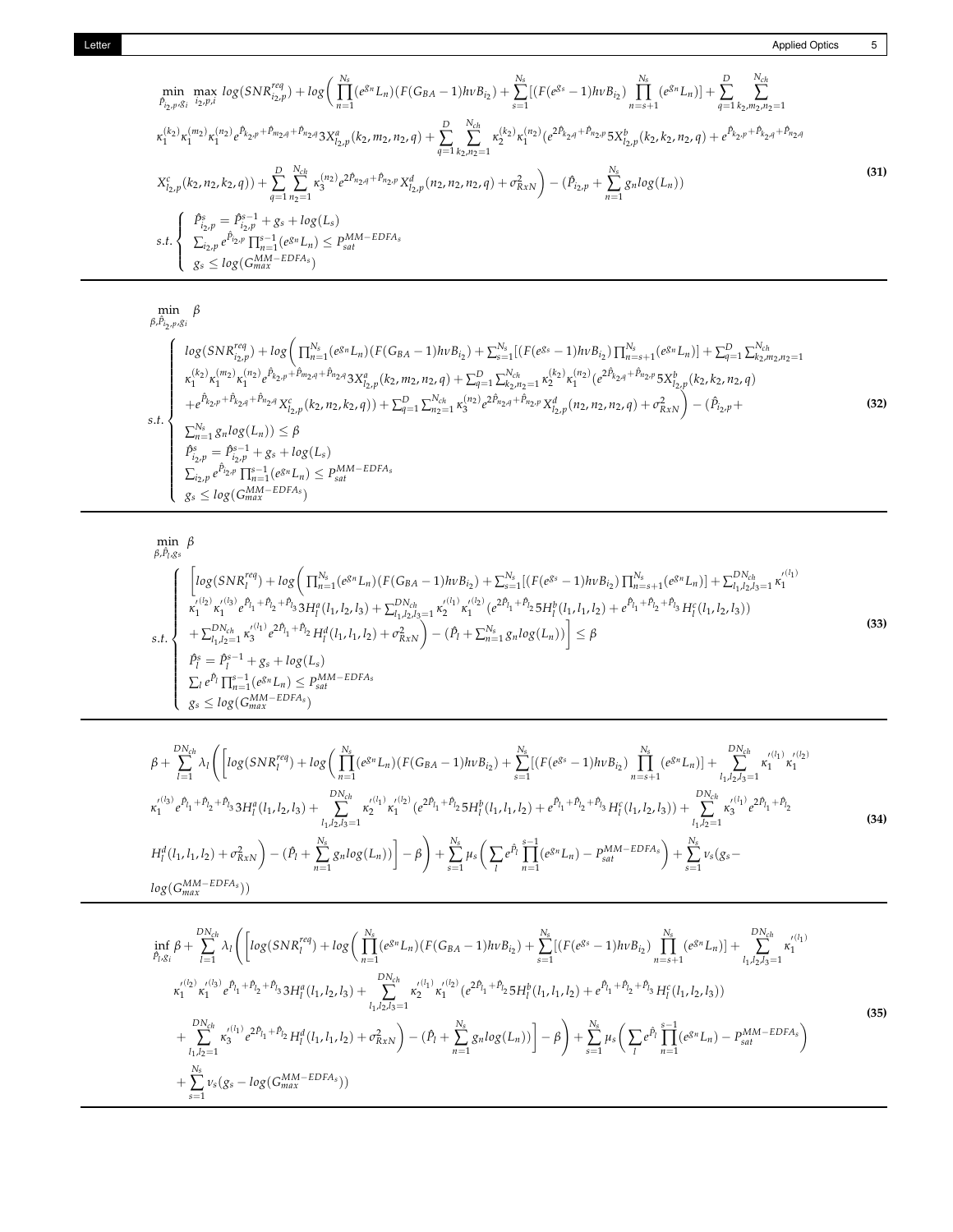<span id="page-4-0"></span>
$$
\min_{\tilde{P}_{i_2,p},\tilde{g}_i} \max_{i_2,p,i_1} log(SNR_{i_2,p}^{req}) + log\left(\prod_{n=1}^{N_s} (e^{s_n}L_n)(F(G_{BA} - 1)h\nu B_{i_2}) + \sum_{s=1}^{N_s} [(F(e^{s_s} - 1)h\nu B_{i_2}) \prod_{n=s+1}^{N_s} (e^{s_n}L_n)] + \sum_{q=1}^{D} \sum_{k_2,m_2,n_2=1}^{N_c h} K_1^{(k_2)} \kappa_1^{(m_2)} \kappa_1^{(n_2)} \kappa_1^{(n_2)} \kappa_1^{(n_2)} \kappa_1^{(n_2)} \kappa_1^{(n_2)} \kappa_1^{(n_2)} \kappa_1^{(n_2)} \kappa_1^{(n_2)} \kappa_1^{(n_2)} \kappa_1^{(n_2)} \kappa_1^{(n_2)} \kappa_1^{(n_2)} \kappa_1^{(n_2)} \kappa_1^{(n_2)} \kappa_1^{(n_2)} \kappa_1^{(n_2)} \kappa_1^{(n_2)} \kappa_1^{(n_2)} \kappa_1^{(n_2)} \kappa_1^{(n_2)} \kappa_1^{(n_2)} \kappa_1^{(n_2)} \kappa_1^{(n_2)} \kappa_1^{(n_2)} \kappa_1^{(n_2)} \kappa_1^{(n_2)} \kappa_1^{(n_2)} \kappa_1^{(n_2)} \kappa_1^{(n_2)} \kappa_1^{(n_2)} \kappa_1^{(n_2)} \kappa_1^{(n_2)} \kappa_1^{(n_2)} \kappa_1^{(n_2)} \kappa_1^{(n_2)} \kappa_1^{(n_2)} \kappa_1^{(n_2)} \kappa_1^{(n_2)} \kappa_1^{(n_2)} \kappa_1^{(n_2)} \kappa_1^{(n_2)} \kappa_1^{(n_2)} \kappa_1^{(n_2)} \kappa_1^{(n_2)} \kappa_1^{(n_2)} \kappa_1^{(n_2)} \kappa_1^{(n_2)} \kappa_1^{(n_2)} \kappa_1^{(n_2)} \kappa_1^{(n_2)} \kappa_1^{(n_2)} \kappa_1^{(n
$$

min *β*,*P*ˆ *i*2 ,*p* ,*gi β*

<span id="page-4-1"></span>
$$
s.t.\begin{cases}\log(SNR_{i_{2},p}^{req}) + \log\left(\prod_{n=1}^{N_{s}}(e^{g_{n}}L_{n})(F(G_{BA}-1)h\nu B_{i_{2}}) + \sum_{s=1}^{N_{s}}[(F(e^{g_{s}}-1)h\nu B_{i_{2}})\prod_{n=s+1}^{N_{s}}(e^{g_{n}}L_{n})] + \sum_{q=1}^{D}\sum_{k_{2},m_{2},n_{2}=1}^{N_{ch}}\\ \kappa_{1}^{(k_{2})}\kappa_{1}^{(m_{2})}\kappa_{1}^{(n_{2})}e^{\beta_{k_{2},p}+\beta_{m_{2},q}+\beta_{n_{2},q}}3X_{i_{2},p}^{a}(k_{2},m_{2},n_{2},q) + \sum_{q=1}^{D}\sum_{k_{2},n_{2}=1}^{N_{ch}}\kappa_{2}^{(k_{2})}\kappa_{1}^{(n_{2})}(e^{2\beta_{k_{2},q}+\beta_{n_{2},p}}5X_{i_{2},p}^{b}(k_{2},k_{2},n_{2},q) + e^{\beta_{k_{2},p}+\beta_{k_{2},q}+\beta_{n_{2},q}}X_{i_{2},p}^{c}(k_{2},n_{2},k_{2},q)) + \sum_{q=1}^{D}\sum_{n_{2}=1}^{N_{ch}}\kappa_{3}^{(n_{2})}e^{2\beta_{n_{2},q}+\beta_{n_{2},p}}X_{i_{2},p}^{d}(n_{2},n_{2},n_{2},q) + \sigma_{RxN}^{2}\right) - (\hat{P}_{i_{2},p}+} \\ \sum_{n=1}^{N_{s}}g_{n}log(L_{n})) \leq \beta \\ \hat{P}_{i_{2},p}^{s} = \hat{P}_{i_{2},p}^{s-1} + g_{s} + log(L_{s}) \\ \sum_{i_{2},p}e^{\beta_{i_{2},p}}\prod_{n=1}^{s-1}(e^{g_{n}}L_{n}) \leq P_{sat}^{MM-EDFA_{s}} \\ g_{s} \leq log(G_{max}^{MM-EDFA_{s}})\end{cases} \tag{32}
$$

<span id="page-4-2"></span>
$$
\min_{\beta, \hat{P}_{1/S_s}} \beta
$$
\n
$$
\sum_{\beta, \hat{P}_{1/S_s}} \left[ \log(SNR_l^{req}) + \log\left(\prod_{n=1}^{N_s} (e^{g_n}L_n)(F(G_{BA} - 1)h\nu B_{i_2}) + \sum_{s=1}^{N_s} [(F(e^{g_s} - 1)h\nu B_{i_2})\prod_{n=s+1}^{N_s} (e^{g_n}L_n)] + \sum_{l_1,l_2,l_3=1}^{D_{N_{ch}}} \kappa_1'^{(l_1)}\kappa_1'^{(l_2)}\kappa_1'^{(l_3)}e^{\hat{P}_{l_1} + \hat{P}_{l_2} + \hat{P}_{l_3}} 3H_l^a(l_1, l_2, l_3) + \sum_{l_1,l_2,l_3=1}^{D_{N_{ch}}} \kappa_2'^{(l_1)}\kappa_1'^{(l_2)}\left(e^{2\hat{P}_{l_1} + \hat{P}_{l_2}} 5H_l^b(l_1, l_1, l_2) + e^{\hat{P}_{l_1} + \hat{P}_{l_2} + \hat{P}_{l_3}} H_l^c(l_1, l_2, l_3)\right) + \sum_{l_1,l_2=1}^{D_{N_{ch}}} \kappa_3'^{(l_1)}e^{2\hat{P}_{l_1} + \hat{P}_{l_2}} H_l^d(l_1, l_1, l_2) + \sigma_{RxN}^2 - (\hat{P}_{l} + \sum_{n=1}^{N_s} g_n \log(L_n)) \right] \leq \beta
$$
\n
$$
\hat{P}_{l}^s = \hat{P}_{l}^{s-1} + g_s + \log(L_s)
$$
\n
$$
\sum_{l} e^{\hat{P}_{l}} \prod_{n=1}^{s-1} (e^{g_n}L_n) \leq P_{sat}^{MM-EDFA_s}
$$
\n
$$
g_s \leq \log(G_{max}^{MM-EDFA_s})
$$
\n(33)

<span id="page-4-3"></span>
$$
\beta + \sum_{l=1}^{DN_{ch}} \lambda_{l} \left( \left[ \log(SNR_{l}^{req}) + \log \left( \prod_{n=1}^{N_{s}} (e^{g_{n}} L_{n}) (F(G_{BA} - 1) h v B_{i_{2}}) + \sum_{s=1}^{N_{s}} [(F(e^{g_{s}} - 1) h v B_{i_{2}}) \prod_{n=s+1}^{N_{s}} (e^{g_{n}} L_{n})] + \sum_{l_{1},l_{2},l_{3}=1}^{DN_{ch}} \kappa_{1}^{(l_{1})} \kappa_{1}^{(l_{2})} \kappa_{1}^{(l_{3})} e^{p_{l_{1}} + p_{l_{2}} + p_{l_{3}} 3H_{l}^{a} (l_{1},l_{2},l_{3}) + \sum_{l_{1},l_{2},l_{3}=1}^{DN_{ch}} \kappa_{2}^{(l_{1})} \kappa_{1}^{(l_{2})} (e^{2p_{l_{1}} + p_{l_{2}} 5H_{l}^{b} (l_{1},l_{1},l_{2}) + e^{p_{l_{1}} + p_{l_{2}} + p_{l_{3}} H_{l}^{c} (l_{1},l_{2},l_{3})) + \sum_{l_{1},l_{2}=1}^{DN_{ch}} \kappa_{3}^{(l_{1})} e^{2p_{l_{1}} + p_{l_{2}} 3H_{l}^{c} (l_{1},l_{1},l_{2}) + \sum_{l_{1},l_{2}=1}^{DN_{ch}} \kappa_{3}^{(l_{1})} e^{2p_{l_{1}} + p_{l_{2}} 3H_{l}^{c} (l_{1},l_{1},l_{2}) + \sum_{l_{1},l_{2}=1}^{DN_{ch}} \kappa_{3}^{(l_{1})} e^{2p_{l_{1}} + p_{l_{2}} 3H_{l}^{c} (l_{1},l_{1},l_{2}) + \sum_{l_{1},l_{2}=1}^{DN_{ch}} \kappa_{3}^{(l_{1})} e^{2p_{l_{1}} + p_{l_{2}} 3H_{l}^{c} (l_{1},l_{1},l_{2}) + \sum_{l_{1},l_{2}=1}^{DN_{ch}} \kappa_{3}^{(l_{1})} e^{2p_{l_{1}} + p_{l_{2}} 3H_{l}^{c} (l_{1},l_{1},l_{2}) + \sum_{l_{1},l_{2}=1}^{DN_{ch}} \kappa_{3}^{(l_{1
$$

<span id="page-4-4"></span>
$$
\inf_{\hat{P}_l,g_i} \beta + \sum_{l=1}^{DN_{ch}} \lambda_l \Biggl( \Biggl[ \log(SNR_l^{req}) + \log \Biggl( \prod_{n=1}^{N_s} (e^{g_n}L_n) (F(G_{BA} - 1)h\nu B_{i_2}) + \sum_{s=1}^{N_s} [(F(e^{g_s} - 1)h\nu B_{i_2}) \prod_{n=s+1}^{N_s} (e^{g_n}L_n)] + \sum_{l_1,l_2,l_3=1}^{DN_{ch}} \kappa_1^{(l_1)} \kappa_1^{(l_2)} \kappa_1^{(l_3)} e^{p_{l_1} + p_{l_2} + p_{l_3}} 3H_l^a(l_1, l_2, l_3) + \sum_{l_1,l_2,l_3=1}^{DN_{ch}} \kappa_2^{(l_1)} \kappa_1^{(l_2)} (e^{2p_{l_1} + p_{l_2}} 5H_l^b(l_1, l_1, l_2) + e^{p_{l_1} + p_{l_2} + p_{l_3}} H_l^c(l_1, l_2, l_3)) \n+ \sum_{l_1,l_2=1}^{DN_{ch}} \kappa_3^{(l_1)} e^{2p_{l_1} + p_{l_2}} H_l^d(l_1, l_1, l_2) + \sigma_{RxN}^2 \Biggr) - (\hat{P}_l + \sum_{n=1}^{N_s} g_n \log(L_n)) \Biggr] - \beta \Biggr) + \sum_{s=1}^{N_s} \mu_s \Biggl( \sum_l e^{\hat{P}_l} \prod_{n=1}^{s-1} (e^{g_n}L_n) - P_{sat}^{MM-EDFA_s} \Biggr) \n+ \sum_{s=1}^{N_s} \nu_s (g_s - \log(G_{max}^{MM-EDFA_s})) \Biggr)
$$
\n(35)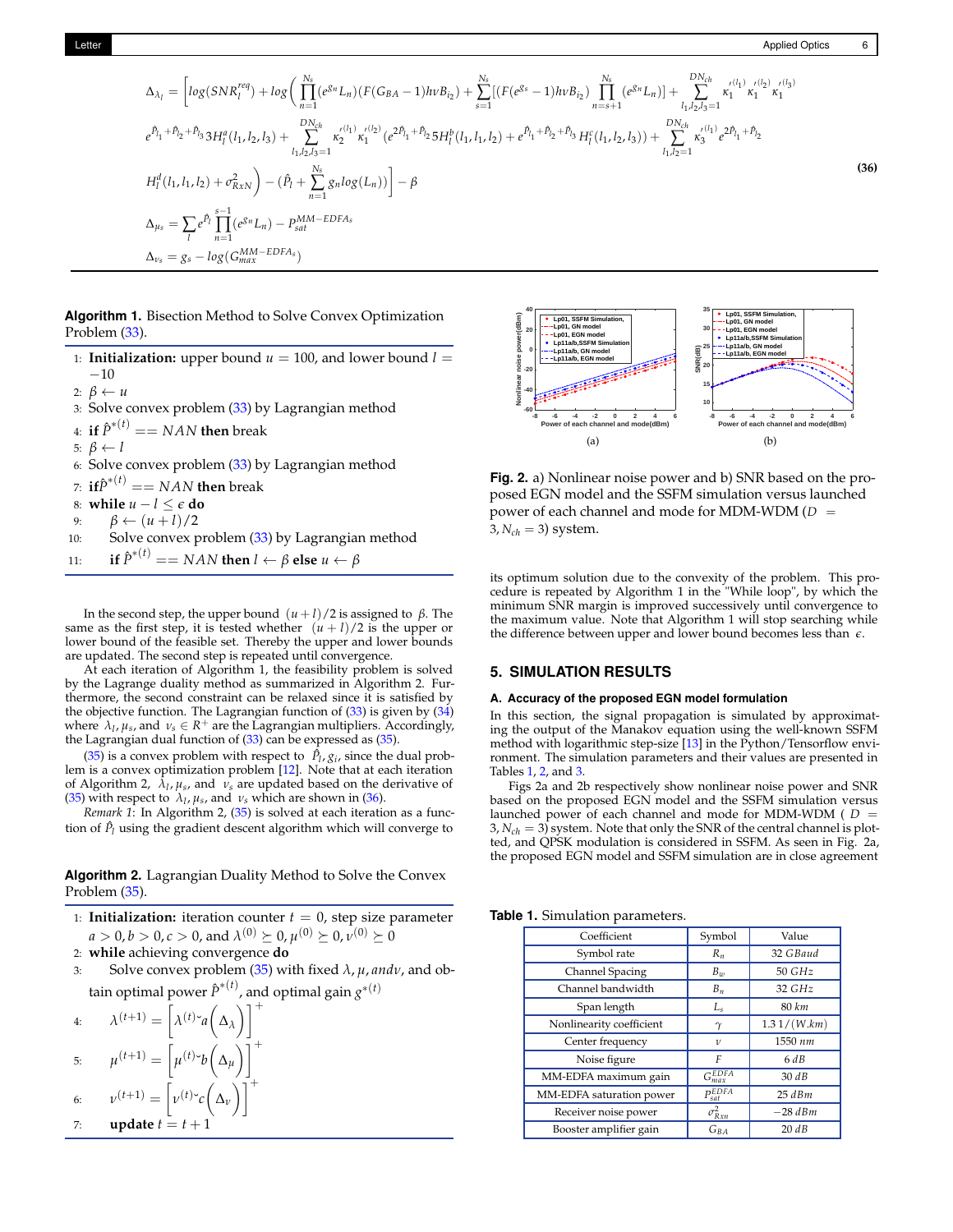<span id="page-5-0"></span>
$$
\Delta_{\lambda_{I}} = \left[ log(SNR_{I}^{req}) + log\left(\prod_{n=1}^{N_{s}} (e^{Sn}L_{n}) (F(G_{BA} - 1)h\nu B_{i_{2}}) + \sum_{s=1}^{N_{s}} [(F(e^{Ss} - 1)h\nu B_{i_{2}}) \prod_{n=s+1}^{N_{s}} (e^{Sn}L_{n})] + \sum_{l_{1},l_{2},l_{3}=1}^{DN_{ch}} \kappa_{1}^{(l_{1})} \kappa_{1}^{(l_{2})} \kappa_{1}^{(l_{3})} \kappa_{1}^{(l_{4})} \kappa_{1}^{(l_{5})} \kappa_{1}^{(l_{6})} \kappa_{1}^{(l_{7})} \kappa_{1}^{(l_{8})} \kappa_{2}^{(l_{9})} \kappa_{1}^{(l_{1})} \kappa_{2}^{(l_{1})} \kappa_{2}^{(l_{2})} \kappa_{1}^{(l_{1})} \kappa_{2}^{(l_{2})} \kappa_{2}^{(l_{1})} \kappa_{2}^{(l_{2})} \kappa_{2}^{(l_{3})} \kappa_{2}^{(l_{4})} \kappa_{2}^{(l_{5})} \kappa_{2}^{(l_{6})} \kappa_{2}^{(l_{7})} \kappa_{2}^{(l_{9})} \kappa_{2}^{(l_{1})} \kappa_{2}^{(l_{1})} \kappa_{2}^{(l_{1})} \kappa_{2}^{(l_{2})} \kappa_{2}^{(l_{3})} \kappa_{2}^{(l_{4})} \kappa_{2}^{(l_{5})} \kappa_{2}^{(l_{6})} \kappa_{2}^{(l_{7})} \kappa_{2}^{(l_{9})} \kappa_{2}^{(l_{1})} \kappa_{2}^{(l_{1})} \kappa_{2}^{(l_{2})} \kappa_{2}^{(l_{3})} \kappa_{2}^{(l_{4})} \kappa_{2}^{(l_{5})} \kappa_{2}^{(l_{6})} \kappa_{2}^{(l_{7})} \kappa_{2}^{(l_{9})} \kappa_{2}^{(l_{1})} \kappa_{2}^{(l_{1})} \kappa_{2}^{(l_{1})} \kappa_{2}^{(l_{1})} \kappa_{2}^{(l_{2})} \kappa_{2}^{(l_{3})} \
$$

**Algorithm 1.** Bisection Method to Solve Convex Optimization Problem [\(33\)](#page-4-2).

- 1: **Initialization:** upper bound  $u = 100$ , and lower bound  $l =$ −10
- 2: *β* ← *u*

3: Solve convex problem [\(33\)](#page-4-2) by Lagrangian method

- 4: **if**  $\hat{P}^{*(t)} = NAN$  **then** break
- 5: *β* ← *l*
- 6: Solve convex problem [\(33\)](#page-4-2) by Lagrangian method
- 7:  $\mathbf{if} \hat{P}^{*(t)} = NAN$  **then** break
- 8: **while**  $u l \leq \epsilon$  **do**<br>9:  $\beta \leftarrow (u + l)/2$
- 9:  $\beta \leftarrow (u+l)/2$ <br>10: Solve convex p
- Solve convex problem  $(33)$  by Lagrangian method
- 11: **if**  $\hat{P}^{*(t)} = NAN$  then  $l \leftarrow \beta$  else  $u \leftarrow \beta$

In the second step, the upper bound  $(u + l)/2$  is assigned to *β*. The same as the first step, it is tested whether  $(u + l)/2$  is the upper or lower bound of the feasible set. Thereby the upper and lower bounds are updated. The second step is repeated until convergence.

At each iteration of Algorithm 1, the feasibility problem is solved by the Lagrange duality method as summarized in Algorithm 2. Furthermore, the second constraint can be relaxed since it is satisfied by the objective function. The Lagrangian function of [\(33\)](#page-4-2) is given by [\(34\)](#page-4-3) where  $\lambda_l$ ,  $\mu_s$ , and  $\nu_s \in R^+$  are the Lagrangian multipliers. Accordingly, the Lagrangian dual function of [\(33\)](#page-4-2) can be expressed as [\(35\)](#page-4-4).

[\(35\)](#page-4-4) is a convex problem with respect to  $\hat{P}_l$ ,  $g_i$ , since the dual problem is a convex optimization problem [\[12\]](#page-9-9). Note that at each iteration of Algorithm 2,  $\lambda_l$ ,  $\mu_s$ , and  $\nu_s$  are updated based on the derivative of [\(35\)](#page-4-4) with respect to  $\lambda_l$ ,  $\mu_s$ , and  $\nu_s$  which are shown in [\(36\)](#page-5-0).

*Remark 1*: In Algorithm 2, [\(35\)](#page-4-4) is solved at each iteration as a function of  $\hat{P}_l$  using the gradient descent algorithm which will converge to

**Algorithm 2.** Lagrangian Duality Method to Solve the Convex Problem [\(35\)](#page-4-4).

- 1: **Initialization:** iteration counter  $t = 0$ , step size parameter *a* > 0, *b* > 0, *c* > 0, and  $\lambda^{(0)} \succeq 0$ ,  $\mu^{(0)} \succeq 0$ ,  $\nu^{(0)} \succeq 0$
- 2: **while** achieving convergence **do**
- 3: Solve convex problem [\(35\)](#page-4-4) with fixed *λ*, *µ*, *andν*, and obtain optimal power  $\hat{P}^{*(t)}$ , and optimal gain  $g^{*(t)}$

4. 
$$
\lambda^{(t+1)} = \left[ \lambda^{(t)} \alpha \left( \Delta_{\lambda} \right) \right]^{+}
$$

5: 
$$
\mu^{(t+1)} = \left[\mu^{(t)} b\left(\Delta_{\mu}\right)\right]^{+}
$$

$$
6: \qquad \nu^{(t+1)} = \left[\nu^{(t)}c\left(\Delta_{\nu}\right)\right]
$$

7: update 
$$
t = t + 1
$$



**Fig. 2.** a) Nonlinear noise power and b) SNR based on the proposed EGN model and the SSFM simulation versus launched power of each channel and mode for MDM-WDM (*D* =  $3, N_{ch} = 3$ ) system.

its optimum solution due to the convexity of the problem. This procedure is repeated by Algorithm 1 in the "While loop", by which the minimum SNR margin is improved successively until convergence to the maximum value. Note that Algorithm 1 will stop searching while the difference between upper and lower bound becomes less than  $\epsilon$ .

# **5. SIMULATION RESULTS**

#### **A. Accuracy of the proposed EGN model formulation**

In this section, the signal propagation is simulated by approximating the output of the Manakov equation using the well-known SSFM method with logarithmic step-size [\[13\]](#page-9-10) in the Python/Tensorflow environment. The simulation parameters and their values are presented in Tables [1,](#page-5-1) [2,](#page-6-0) and [3.](#page-6-1)

Figs 2a and 2b respectively show nonlinear noise power and SNR based on the proposed EGN model and the SSFM simulation versus launched power of each channel and mode for MDM-WDM ( $D =$ 3,  $N_{ch} = 3$ ) system. Note that only the SNR of the central channel is plotted, and QPSK modulation is considered in SSFM. As seen in Fig. 2a, the proposed EGN model and SSFM simulation are in close agreement

<span id="page-5-1"></span>**Table 1.** Simulation parameters.

| Coefficient              | Symbol           | Value       |  |  |
|--------------------------|------------------|-------------|--|--|
| Symbol rate              | $R_n$            | 32 GBaud    |  |  |
| Channel Spacing          | $B_w$            | 50 GHz      |  |  |
| Channel bandwidth        | $B_n$            | 32 GHz      |  |  |
| Span length              | $L_{\rm s}$      | 80 km       |  |  |
| Nonlinearity coefficient | $\gamma$         | 1.31/(W.km) |  |  |
| Center frequency         | v                | 1550 nm     |  |  |
| Noise figure             | F                | 6 dB        |  |  |
| MM-EDFA maximum gain     | $G_{max}^{EDFA}$ | 30dB        |  |  |
| MM-EDFA saturation power | $P_{sat}^{EDFA}$ | 25 dBm      |  |  |
| Receiver noise power     | $\sigma_{Rxn}^2$ | $-28$ dBm   |  |  |
| Booster amplifier gain   | $G_{BA}$         | 20dB        |  |  |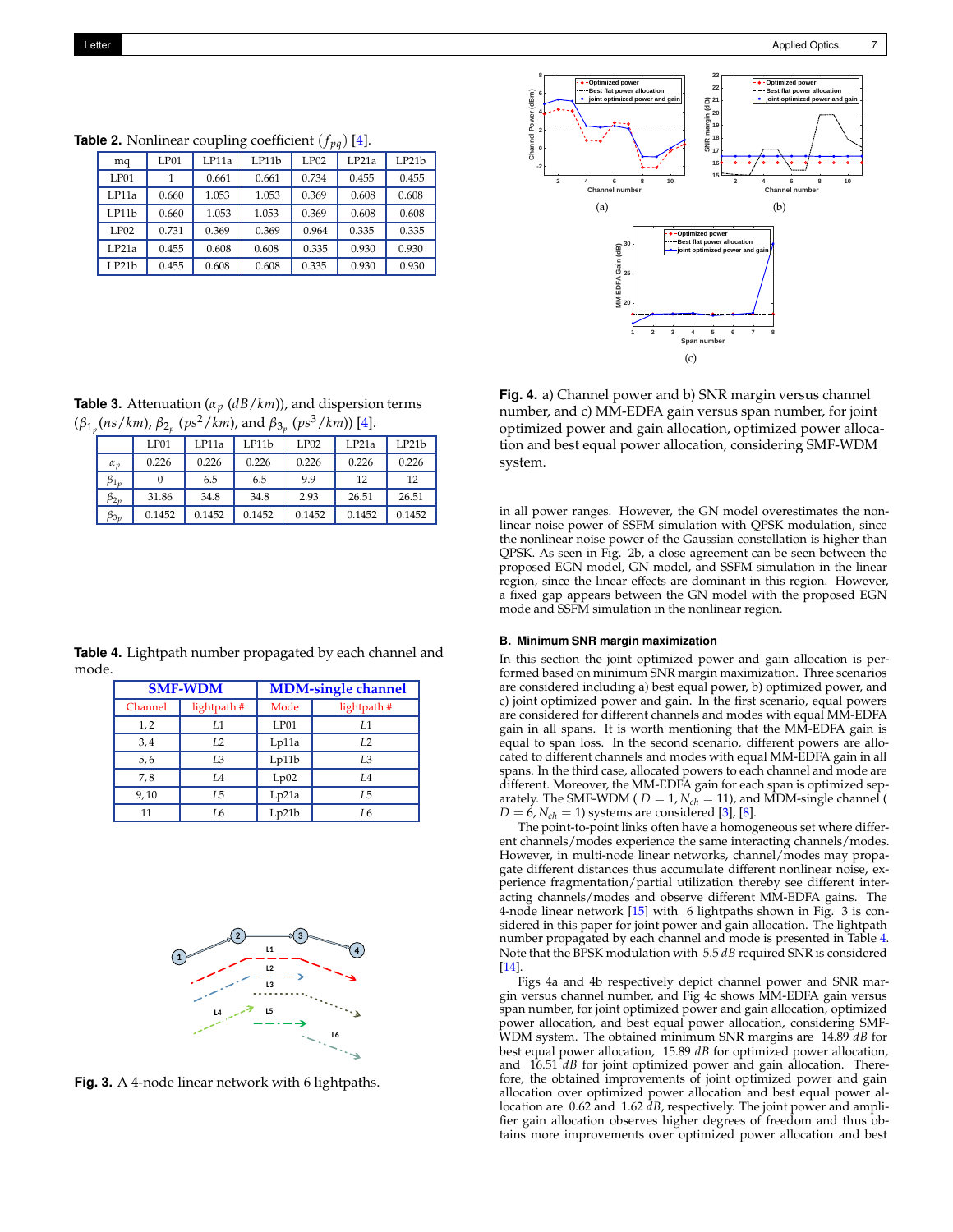

<span id="page-6-0"></span>**Table 2.** Nonlinear coupling coefficient (*fpq*) [\[4](#page-9-1)].

mq LP01 LP11a LP11b LP02 LP21a LP21b LP01 | 1 | 0.661 | 0.661 | 0.734 | 0.455 | 0.455 LP11a | 0.660 | 1.053 | 1.053 | 0.369 | 0.608 | 0.608 LP11b | 0.660 | 1.053 | 1.053 | 0.369 | 0.608 | 0.608 LP02 | 0.731 | 0.369 | 0.369 | 0.964 | 0.335 | 0.335 LP21a | 0.455 | 0.608 | 0.608 | 0.335 | 0.930 | 0.930 LP21b | 0.455 | 0.608 | 0.608 | 0.335 | 0.930 | 0.930

<span id="page-6-1"></span>

|                                                                                     | <b>Table 3.</b> Attenuation ( $\alpha_p$ (dB/km)), and dispersion terms |
|-------------------------------------------------------------------------------------|-------------------------------------------------------------------------|
| $(\beta_{1_n}(ns/km), \beta_{2_n}(ps^2/km), \text{and } \beta_{3_n}(ps^3/km))$ [4]. |                                                                         |

|                                     | LP01   | LP11a  | LP11b  | LP02   | LP <sub>21</sub> a | LP21b  |
|-------------------------------------|--------|--------|--------|--------|--------------------|--------|
| $\alpha_p$                          | 0.226  | 0.226  | 0.226  | 0.226  | 0.226              | 0.226  |
| $\beta_{1_{\cal D}}$                |        | 6.5    | 6.5    | 9.9    | 12                 | 12     |
| $\beta_{2p}$                        | 31.86  | 34.8   | 34.8   | 2.93   | 26.51              | 26.51  |
| $\beta_{3_{\scriptscriptstyle{v}}}$ | 0.1452 | 0.1452 | 0.1452 | 0.1452 | 0.1452             | 0.1452 |

<span id="page-6-2"></span>**Table 4.** Lightpath number propagated by each channel and mode.

| <b>SMF-WDM</b> |                | <b>MDM-single channel</b> |                |  |
|----------------|----------------|---------------------------|----------------|--|
| Channel        | lightpath#     | Mode                      | lightpath#     |  |
| 1, 2           | L1             | LP01                      | L1             |  |
| 3,4            | L <sub>2</sub> | Lp11a                     | L <sub>2</sub> |  |
| 5,6            | L <sub>3</sub> | Lp11b                     | L3             |  |
| 7,8            | I.4            | Lp02                      | I.4            |  |
| 9,10           | L5             | Lp21a                     | L5             |  |
| 11             | L6             | Lp21b                     | L6             |  |



**Fig. 3.** A 4-node linear network with 6 lightpaths.

**Fig. 4.** a) Channel power and b) SNR margin versus channel number, and c) MM-EDFA gain versus span number, for joint optimized power and gain allocation, optimized power allocation and best equal power allocation, considering SMF-WDM system.

in all power ranges. However, the GN model overestimates the nonlinear noise power of SSFM simulation with QPSK modulation, since the nonlinear noise power of the Gaussian constellation is higher than QPSK. As seen in Fig. 2b, a close agreement can be seen between the proposed EGN model, GN model, and SSFM simulation in the linear region, since the linear effects are dominant in this region. However, a fixed gap appears between the GN model with the proposed EGN mode and SSFM simulation in the nonlinear region.

## **B. Minimum SNR margin maximization**

In this section the joint optimized power and gain allocation is performed based on minimum SNR margin maximization. Three scenarios are considered including a) best equal power, b) optimized power, and c) joint optimized power and gain. In the first scenario, equal powers are considered for different channels and modes with equal MM-EDFA gain in all spans. It is worth mentioning that the MM-EDFA gain is equal to span loss. In the second scenario, different powers are allocated to different channels and modes with equal MM-EDFA gain in all spans. In the third case, allocated powers to each channel and mode are different. Moreover, the MM-EDFA gain for each span is optimized separately. The SMF-WDM ( $D = 1$ ,  $N_{ch} = 11$ ), and MDM-single channel (  $= 6$ ,  $N_{ch} = 1$ ) systems are considered [\[3](#page-9-0)], [\[8\]](#page-9-5).

The point-to-point links often have a homogeneous set where different channels/modes experience the same interacting channels/modes. However, in multi-node linear networks, channel/modes may propagate different distances thus accumulate different nonlinear noise, experience fragmentation/partial utilization thereby see different interacting channels/modes and observe different MM-EDFA gains. The 4-node linear network  $[15]$  with 6 lightpaths shown in Fig. 3 is considered in this paper for joint power and gain allocation. The lightpath number propagated by each channel and mode is presented in Table [4.](#page-6-2) Note that the BPSK modulation with 5.5 *dB* required SNR is considered [\[14\]](#page-9-12).

Figs 4a and 4b respectively depict channel power and SNR margin versus channel number, and Fig 4c shows MM-EDFA gain versus span number, for joint optimized power and gain allocation, optimized power allocation, and best equal power allocation, considering SMF-WDM system. The obtained minimum SNR margins are 14.89 *dB* for best equal power allocation, 15.89 *dB* for optimized power allocation, and 16.51 *dB* for joint optimized power and gain allocation. Therefore, the obtained improvements of joint optimized power and gain allocation over optimized power allocation and best equal power allocation are 0.62 and 1.62 *dB*, respectively. The joint power and amplifier gain allocation observes higher degrees of freedom and thus obtains more improvements over optimized power allocation and best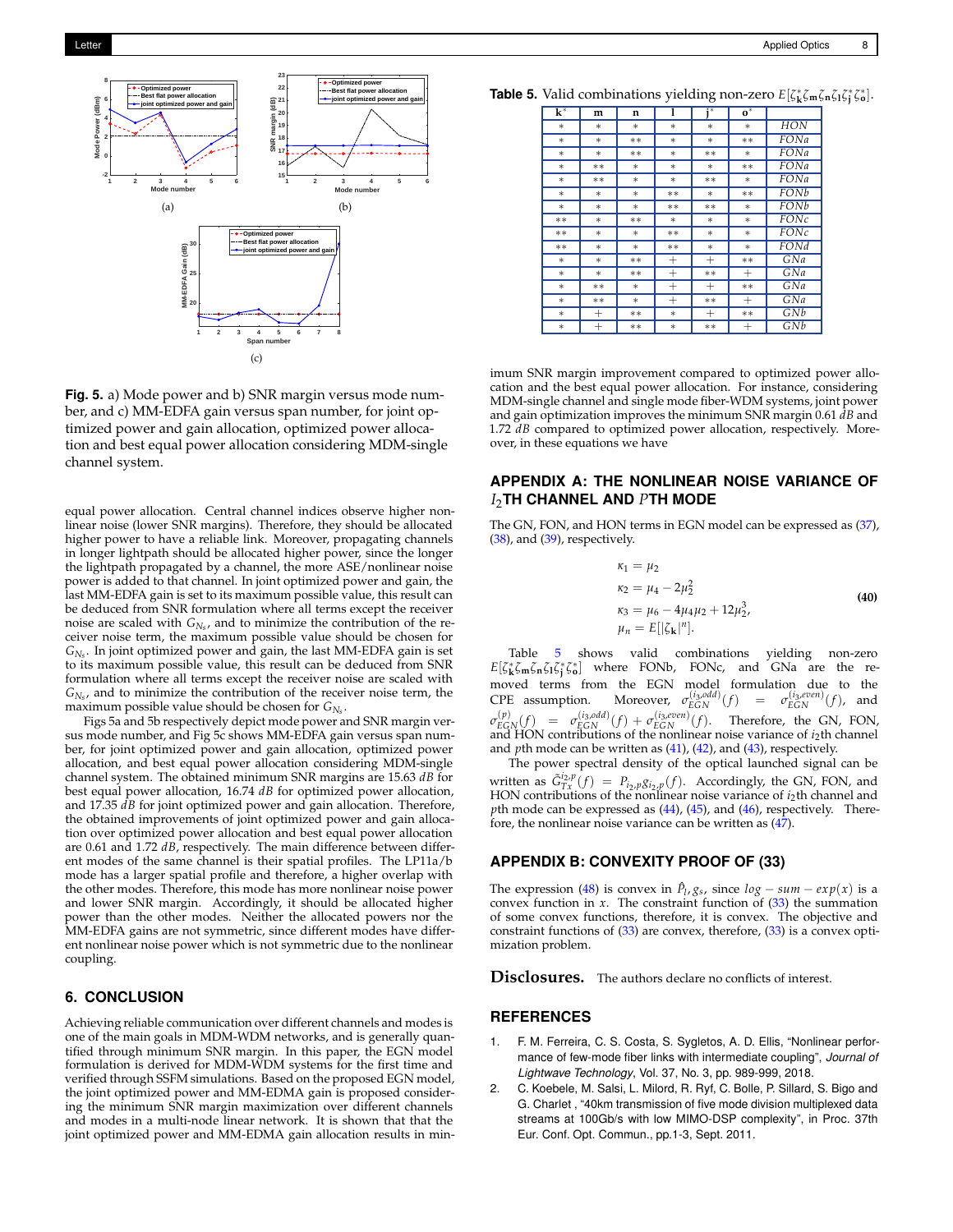

**Fig. 5.** a) Mode power and b) SNR margin versus mode number, and c) MM-EDFA gain versus span number, for joint optimized power and gain allocation, optimized power allocation and best equal power allocation considering MDM-single channel system.

equal power allocation. Central channel indices observe higher nonlinear noise (lower SNR margins). Therefore, they should be allocated higher power to have a reliable link. Moreover, propagating channels in longer lightpath should be allocated higher power, since the longer the lightpath propagated by a channel, the more ASE/nonlinear noise power is added to that channel. In joint optimized power and gain, the last MM-EDFA gain is set to its maximum possible value, this result can be deduced from SNR formulation where all terms except the receiver noise are scaled with *GN<sup>s</sup>* , and to minimize the contribution of the receiver noise term, the maximum possible value should be chosen for *GN<sup>s</sup>* . In joint optimized power and gain, the last MM-EDFA gain is set to its maximum possible value, this result can be deduced from SNR formulation where all terms except the receiver noise are scaled with  $G_{N_s}$ , and to minimize the contribution of the receiver noise term, the maximum possible value should be chosen for *GN<sup>s</sup>* .

Figs 5a and 5b respectively depict mode power and SNR margin versus mode number, and Fig 5c shows MM-EDFA gain versus span number, for joint optimized power and gain allocation, optimized power allocation, and best equal power allocation considering MDM-single channel system. The obtained minimum SNR margins are 15.63 *dB* for best equal power allocation, 16.74 *dB* for optimized power allocation, and 17.35 *dB* for joint optimized power and gain allocation. Therefore, the obtained improvements of joint optimized power and gain allocation over optimized power allocation and best equal power allocation are 0.61 and 1.72 *dB*, respectively. The main difference between different modes of the same channel is their spatial profiles. The LP11a/b mode has a larger spatial profile and therefore, a higher overlap with the other modes. Therefore, this mode has more nonlinear noise power and lower SNR margin. Accordingly, it should be allocated higher power than the other modes. Neither the allocated powers nor the MM-EDFA gains are not symmetric, since different modes have different nonlinear noise power which is not symmetric due to the nonlinear coupling.

# **6. CONCLUSION**

Achieving reliable communication over different channels and modes is one of the main goals in MDM-WDM networks, and is generally quantified through minimum SNR margin. In this paper, the EGN model formulation is derived for MDM-WDM systems for the first time and verified through SSFM simulations. Based on the proposed EGN model, the joint optimized power and MM-EDMA gain is proposed considering the minimum SNR margin maximization over different channels and modes in a multi-node linear network. It is shown that that the joint optimized power and MM-EDMA gain allocation results in min-

<span id="page-7-2"></span>**Table 5.** Valid combinations yielding non-zero  $E[\zeta^*_\textbf{k}\zeta_\textbf{m}\zeta_\textbf{n}\zeta_\textbf{i}\zeta^*_\textbf{j}\zeta^*_\textbf{o}].$ 

| $\overline{\mathbf{k}}^*$ | m       | n       |        | i*      | $\sigma^*$ |             |
|---------------------------|---------|---------|--------|---------|------------|-------------|
| $\star$                   | *       | $*$     | *      | $\ast$  | $\ast$     | HON         |
| $\frac{1}{26}$            | $\star$ | **      | $\ast$ | $\star$ | **         | FONa        |
| $*$                       | $\star$ | **      | *      | **      | $\ast$     | <b>FONa</b> |
| $\star$                   | $**$    | $\ast$  | $\ast$ | $\ast$  | **         | FONa        |
| $\ast$                    | **      | $\ast$  | $\ast$ | **      | $\ast$     | FONa        |
| $*$                       | *       | *       | $**$   | $\ast$  | **         | FONb        |
| $\star$                   | *       | $\ast$  | **     | **      | $\ast$     | FONb        |
| $**$                      | $*$     | **      | $\ast$ | $\star$ | $\star$    | FONc        |
| $**$                      | $\star$ | $\ast$  | **     | $\ast$  | $\ast$     | FONc        |
| **                        | $*$     | $\star$ | **     | $\star$ | $\ast$     | FONd        |
| $\star$                   | *       | $**$    | $^+$   | $^{+}$  | **         | GNa         |
| $\ast$                    | $\star$ | **      | $^{+}$ | **      | $^{+}$     | GNa         |
| $\star$                   | $**$    | $\ast$  | $^+$   | $^{+}$  | **         | GNa         |
| $\star$                   | **      | *       | $^{+}$ | **      | $^{+}$     | GNa         |
| $\ast$                    | $^{+}$  | **      | $\ast$ | $^{+}$  | **         | GNb         |
| $\ast$                    | $^{+}$  | **      | *      | **      |            | GNb         |

imum SNR margin improvement compared to optimized power allocation and the best equal power allocation. For instance, considering MDM-single channel and single mode fiber-WDM systems, joint power and gain optimization improves the minimum SNR margin 0.61 *dB* and 1.72 *dB* compared to optimized power allocation, respectively. Moreover, in these equations we have

# **APPENDIX A: THE NONLINEAR NOISE VARIANCE OF** *I*2**TH CHANNEL AND** *P***TH MODE**

The GN, FON, and HON terms in EGN model can be expressed as [\(37\)](#page-8-0),  $(38)$ , and  $(39)$ , respectively.

$$
\kappa_1 = \mu_2
$$
  
\n
$$
\kappa_2 = \mu_4 - 2\mu_2^2
$$
  
\n
$$
\kappa_3 = \mu_6 - 4\mu_4\mu_2 + 12\mu_2^3,
$$
  
\n
$$
\mu_n = E[|\zeta_{\mathbf{k}}|^n].
$$
\n(40)

Table [5](#page-7-2) shows valid combinations yielding non-zero  $E[\zeta_k^*\zeta_m\zeta_n\zeta_l^{\xi}\zeta_o^{\ast}]$  where FONb, FONc, and GNa are the removed terms from the EGN model formulation due to the CPE assumption.  $\int_{EGN}^{(i_3, odd)}(f) = \sigma_{EGN}^{(i_3, even)}(f)$ , and  $\sigma_{EGN}^{(p)}(f) = \sigma_{EGN}^{(i_3, odd)}(f) + \sigma_{EGN}^{(i_3, even)}(f)$ . Therefore, the GN, FON, and HON contributions of the nonlinear noise variance of *i*<sub>2</sub>th channel and *p*th mode can be written as [\(41\)](#page-8-3), [\(42\)](#page-8-4), and [\(43\)](#page-8-5), respectively.

The power spectral density of the optical launched signal can be written as  $\tilde{G}_{Tx}^{i_2,p}(f) = P_{i_2,p} g_{i_2,p}(f)$ . Accordingly, the GN, FON, and HON contributions of the nonlinear noise variance of *i*<sub>2</sub>th channel and *p*th mode can be expressed as  $(44)$ ,  $(45)$ , and  $(46)$ , respectively. Therefore, the nonlinear noise variance can be written as [\(47\)](#page-9-15).

## **APPENDIX B: CONVEXITY PROOF OF (33)**

The expression [\(48\)](#page-9-16) is convex in  $\hat{P}_l$ ,  $g_s$ , since  $log - sum - exp(x)$  is a convex function in  $x$ . The constraint function of  $(33)$  the summation of some convex functions, therefore, it is convex. The objective and constraint functions of  $(33)$  are convex, therefore,  $(33)$  is a convex optimization problem.

**Disclosures.** The authors declare no conflicts of interest.

## **REFERENCES**

- <span id="page-7-0"></span>1. F. M. Ferreira, C. S. Costa, S. Sygletos, A. D. Ellis, "Nonlinear performance of few-mode fiber links with intermediate coupling", *Journal of Lightwave Technology*, Vol. 37, No. 3, pp. 989-999, 2018.
- <span id="page-7-1"></span>2. C. Koebele, M. Salsi, L. Milord, R. Ryf, C. Bolle, P. Sillard, S. Bigo and G. Charlet , "40km transmission of five mode division multiplexed data streams at 100Gb/s with low MIMO-DSP complexity", in Proc. 37th Eur. Conf. Opt. Commun., pp.1-3, Sept. 2011.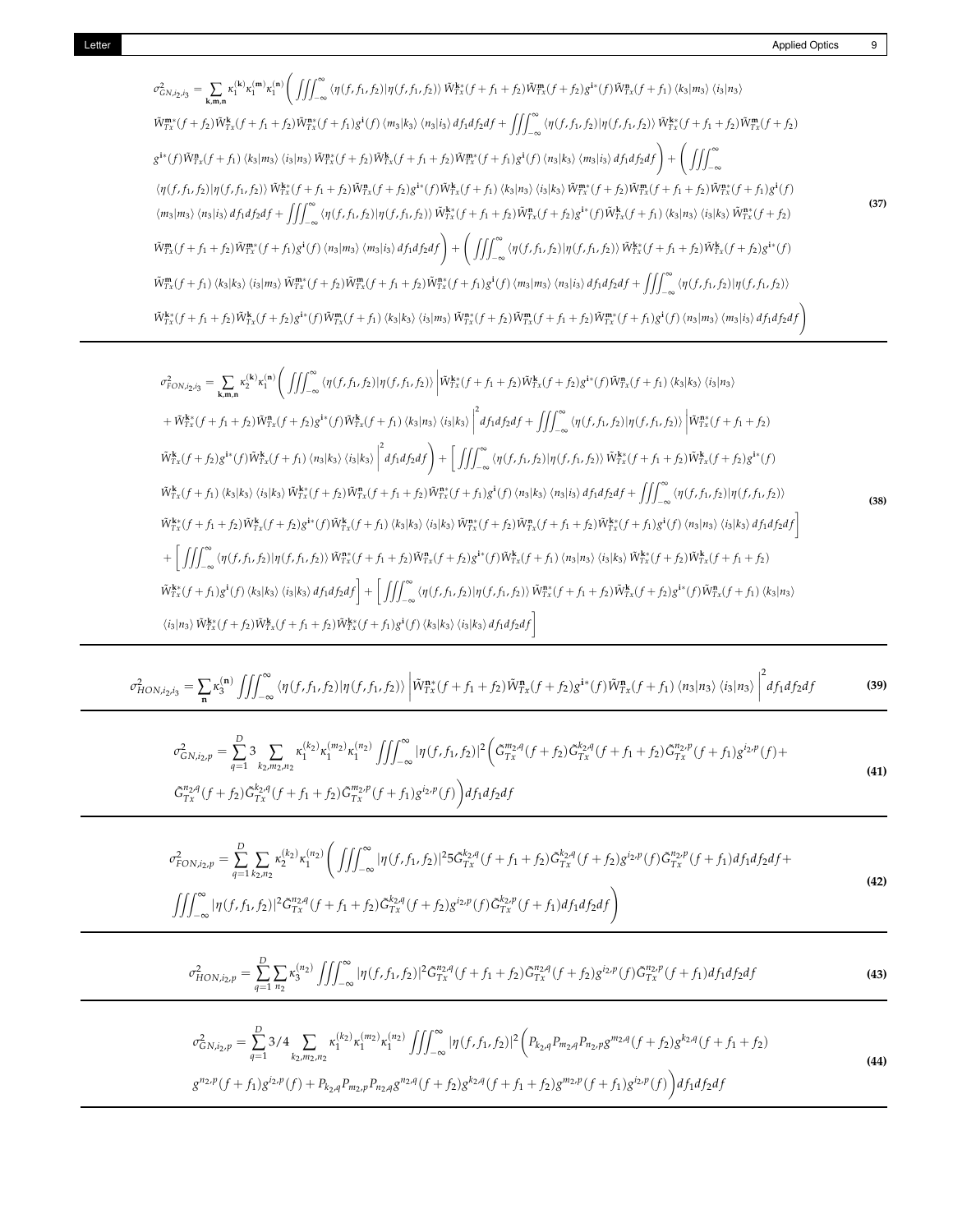**(37)**

<span id="page-8-0"></span>
$$
\sigma_{GN,i_{2},i_{3}}^{2} = \sum_{k,m,n} \kappa_{1}^{(k)} \kappa_{1}^{(m)} \kappa_{1}^{(n)} \left( \iiint_{-\infty}^{\infty} \langle \eta(f,f_{1},f_{2}) | \eta(f,f_{1},f_{2}) \rangle \tilde{W}_{1x}^{k*}(f+f_{1}+f_{2}) \tilde{W}_{1x}^{m}(f+f_{2}) g^{i*}(f) \tilde{W}_{1x}^{n}(f+f_{1}) \langle k_{3} | m_{3} \rangle \langle i_{3} | n_{3} \rangle \right)
$$
  
\n
$$
\tilde{W}_{1x}^{m*}(f+f_{2}) \tilde{W}_{1x}^{k}(f+f_{1}+f_{2}) \tilde{W}_{1x}^{m*}(f+f_{1}) g^{i}(f) \langle m_{3} | k_{3} \rangle \langle n_{3} | i_{3} \rangle d f_{1} d f_{2} df + \iiint_{-\infty}^{\infty} \langle \eta(f,f_{1},f_{2}) | \eta(f,f_{1},f_{2}) \rangle \tilde{W}_{1x}^{k*}(f+f_{1}+f_{2}) \tilde{W}_{1x}^{m}(f+f_{2})
$$
  
\n
$$
g^{i*}(f) \tilde{W}_{1x}^{n}(f+f_{1}) \langle k_{3} | m_{3} \rangle \langle i_{3} | n_{3} \rangle \langle i_{3} | n_{3} \rangle \tilde{W}_{1x}^{n*}(f+f_{2}) \tilde{W}_{1x}^{k*}(f+f_{1}+f_{2}) \tilde{W}_{1x}^{m*}(f+f_{1}) g^{i}(f) \langle n_{3} | k_{3} \rangle \langle m_{3} | i_{3} \rangle d f_{1} d f_{2} df \right) + \left( \iiint_{-\infty}^{\infty} \langle \eta(f,f_{1},f_{2}) | \eta(f,f_{1},f_{2}) \rangle \tilde{W}_{1x}^{k*}(f+f_{1}+f_{2}) \tilde{W}_{1x}^{m*}(f+f_{1}) g^{i}(f) \langle n_{3} | k_{3} \rangle \langle m_{3} | k_{3} \rangle \langle m_{3} | k_{3} \rangle d f_{1} d f_{2} df \right) + \left( \iiint_{-\infty}^{\infty} \langle \eta(f,f_{1},f_{2}) | \eta(f,f_{1},f_{2}) \rangle \tilde{W}_{1x}^{k
$$

<span id="page-8-1"></span>
$$
\sigma_{\text{FON},i_{2},i_{3}}^{2} = \sum_{k,m,n} \kappa_{2}^{(k)} \kappa_{1}^{(n)} \Bigg( \iiint_{-\infty}^{\infty} \langle \eta(f,f_{1},f_{2}) | \eta(f,f_{1},f_{2}) \rangle \Bigg| \tilde{W}_{1x}^{k*}(f+f_{1}+f_{2}) \tilde{W}_{1x}^{k}(f+f_{1}) \langle k_{3} | k_{3} \rangle \langle i_{3} | n_{3} \rangle \n+ \tilde{W}_{1x}^{k*}(f+f_{1}+f_{2}) \tilde{W}_{1x}^{n}(f+f_{1}) \langle k_{3} | n_{3} \rangle \langle i_{3} | n_{3} \rangle \Bigg|^{2} df_{1} df_{2} df + \iiint_{-\infty}^{\infty} \langle \eta(f,f_{1},f_{2}) | \eta(f,f_{1},f_{2}) \rangle \Bigg| \tilde{W}_{1x}^{n*}(f+f_{1}+f_{2}) \Bigg| \tilde{W}_{1x}^{n*}(f+f_{1}) \langle k_{3} | k_{3} \rangle \langle i_{3} | k_{3} \rangle \Bigg|^{2} df_{1} df_{2} df + \iiint_{-\infty}^{\infty} \langle \eta(f,f_{1},f_{2}) | \eta(f,f_{1},f_{2}) \rangle \Bigg| \tilde{W}_{1x}^{k*}(f+f_{1}) \langle k_{3} | k_{3} \rangle \langle i_{3} | k_{3} \rangle \langle i_{3} | k_{3} \rangle \Bigg|^{2} df_{1} df_{2} df \Bigg) + \Bigg[ \iiint_{-\infty}^{\infty} \langle \eta(f,f_{1},f_{2}) | \eta(f,f_{1},f_{2}) \rangle \tilde{W}_{1x}^{k*}(f+f_{1}) \langle k_{3} | k_{3} \rangle \langle i_{3} | k_{3} \rangle \langle i_{3} | k_{3} \rangle \Bigg|^{2} df_{1} df_{2} df + \iiint_{-\infty}^{\infty} \langle \eta(f,f_{1},f_{2}) | \eta(f,f_{1},f_{2}) \rangle \Bigg| \tilde{W}_{1x}^{k*}(f+f_{1}) \langle k_{3} | k_{3} \rangle \langle i_{3} | k_{3} \rangle \langle i_{3} | k_{3} \rangle \langle i_{3} | k_{3} \rangle \langle i_{3} | k_{3} \rangle \langle i_{3} | k_{3}
$$

<span id="page-8-2"></span>
$$
\sigma_{HON,i_2,i_3}^2 = \sum_{\mathbf{n}} \kappa_3^{(\mathbf{n})} \iiint_{-\infty}^{\infty} \langle \eta(f, f_1, f_2) | \eta(f, f_1, f_2) \rangle \left| \tilde{W}_{Tx}^{\mathbf{n}}(f + f_1 + f_2) \tilde{W}_{Tx}^{\mathbf{n}}(f + f_2) g^{\mathbf{i} *} (f) \tilde{W}_{Tx}^{\mathbf{n}}(f + f_1) \langle n_3 | n_3 \rangle \langle i_3 | n_3 \rangle \right|^2 df_1 df_2 df \tag{39}
$$

<span id="page-8-3"></span>
$$
\sigma_{GN,i_2,p}^2 = \sum_{q=1}^D 3 \sum_{k_2,m_2,n_2} \kappa_1^{(k_2)} \kappa_1^{(m_2)} \kappa_1^{(n_2)} \iiint_{-\infty}^{\infty} |\eta(f,f_1,f_2)|^2 \left( \tilde{G}_{Tx}^{m_2,q}(f+f_2) \tilde{G}_{Tx}^{k_2,q}(f+f_1+f_2) \tilde{G}_{Tx}^{n_2,p}(f+f_1) g^{i_2,p}(f) + \tilde{G}_{Tx}^{m_2,q}(f+f_2) \tilde{G}_{Tx}^{k_2,q}(f+f_1+f_2) \tilde{G}_{Tx}^{n_2,p}(f+f_1+f_2) \tilde{G}_{Tx}^{n_2,p}(f+f_1+f_2) \tilde{G}_{Tx}^{n_2,p}(f+f_1+f_2) \tilde{G}_{Tx}^{n_2,p}(f+f_1+f_2) \tilde{G}_{Tx}^{n_2,p}(f+f_1+f_2) \tilde{G}_{Tx}^{n_2,p}(f+f_1+f_2) \tilde{G}_{Tx}^{n_2,p}(f+f_1+f_2) \tilde{G}_{Tx}^{n_2,p}(f+f_1+f_2) \tilde{G}_{Tx}^{n_2,p}(f+f_1+f_2) \tilde{G}_{Tx}^{n_2,p}(f+f_1+f_2) \tilde{G}_{Tx}^{n_2,p}(f+f_1+f_2) \tilde{G}_{Tx}^{n_2,p}(f+f_1+f_2) \tilde{G}_{Tx}^{n_2,p}(f+f_1+f_2) \tilde{G}_{Tx}^{n_2,p}(f+f_1+f_2) \tilde{G}_{Tx}^{n_2,p}(f+f_1+f_2) \tilde{G}_{Tx}^{n_2,p}(f+f_1+f_2) \tilde{G}_{Tx}^{n_2,p}(f+f_1+f_2) \tilde{G}_{Tx}^{n_2,p}(f+f_1+f_2) \tilde{G}_{Tx}^{n_2,p}(f+f_1+f_2) \tilde{G}_{Tx}^{n_2,p}(f+f_1+f_2) \tilde{G}_{Tx}^{n_2,p}(f+f_1+f_2) \tilde{G}_{Tx}^{n_2,p}(f+f_1+f_2) \tilde{G}_{Tx}^{n_2,p}(f+f_1+f_2) \tilde{G}_{Tx}^{n_2,p}(f+f_1+f_2) \tilde{G}_{Tx}^{n_2,p}(f+f_1+f_2) \til
$$

<span id="page-8-4"></span>
$$
\sigma_{FON,i_2,p}^2 = \sum_{q=1}^D \sum_{k_2,n_2} \kappa_2^{(k_2)} \kappa_1^{(n_2)} \left( \iiint_{-\infty}^{\infty} |\eta(f,f_1,f_2)|^2 5 \tilde{G}_{Tx}^{k_2,q}(f+f_1+f_2) \tilde{G}_{Tx}^{k_2,q}(f+f_2) g^{i_2,p}(f) \tilde{G}_{Tx}^{n_2,p}(f+f_1) df_1 df_2 df + \iint_{-\infty}^{\infty} |\eta(f,f_1,f_2)|^2 \tilde{G}_{Tx}^{n_2,q}(f+f_1+f_2) \tilde{G}_{Tx}^{k_2,q}(f+f_2) g^{i_2,p}(f) \tilde{G}_{Tx}^{k_2,p}(f+f_1) df_1 df_2 df \right)
$$
\n(42)

<span id="page-8-5"></span>
$$
\sigma_{HON,i_2,p}^2 = \sum_{q=1}^D \sum_{n_2} \kappa_3^{(n_2)} \iiint_{-\infty}^{\infty} |\eta(f,f_1,f_2)|^2 \tilde{G}_{Tx}^{n_2,q}(f+f_1+f_2) \tilde{G}_{Tx}^{n_2,q}(f+f_2) g^{i_2,p}(f) \tilde{G}_{Tx}^{n_2,p}(f+f_1) df_1 df_2 df \tag{43}
$$

<span id="page-8-6"></span>
$$
\sigma_{GN,i_2,p}^2 = \sum_{q=1}^D 3/4 \sum_{k_2,m_2,n_2} \kappa_1^{(k_2)} \kappa_1^{(m_2)} \kappa_1^{(m_2)} \iiint_{-\infty}^{\infty} |\eta(f,f_1,f_2)|^2 \left( P_{k_2,q} P_{m_2,q} P_{n_2,p} g^{m_2,q}(f+f_2) g^{k_2,q}(f+f_1+f_2) \right)
$$
  

$$
g^{n_2,p}(f+f_1) g^{i_2,p}(f) + P_{k_2,q} P_{m_2,p} P_{n_2,q} g^{n_2,q}(f+f_2) g^{k_2,q}(f+f_1+f_2) g^{m_2,p}(f+f_1) g^{i_2,p}(f) \right) d f_1 d f_2 df
$$
\n
$$
(44)
$$